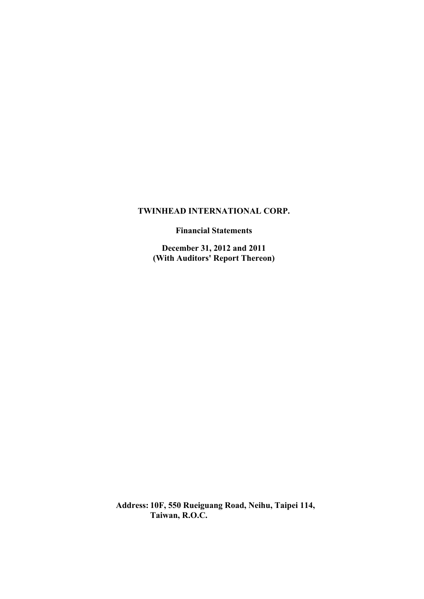**Financial Statements**

**December 31, 2012 and 2011 (With Auditors' Report Thereon)**

**Address: 10F, 550 Rueiguang Road, Neihu, Taipei 114, Taiwan, R.O.C.**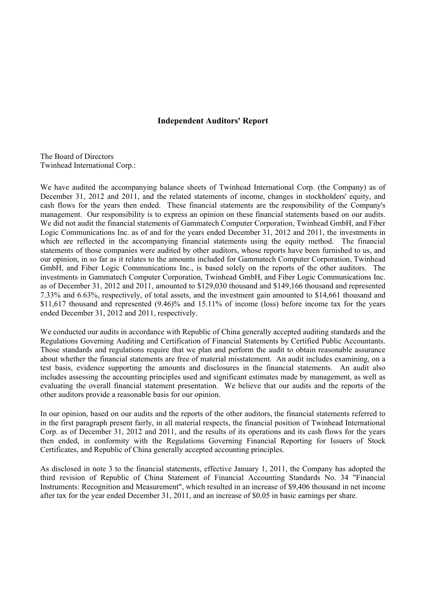### **Independent Auditors' Report**

The Board of Directors Twinhead International Corp.:

We have audited the accompanying balance sheets of Twinhead International Corp. (the Company) as of December 31, 2012 and 2011, and the related statements of income, changes in stockholders' equity, and cash flows for the years then ended. These financial statements are the responsibility of the Company's management. Our responsibility is to express an opinion on these financial statements based on our audits. We did not audit the financial statements of Gammatech Computer Corporation, Twinhead GmbH, and Fiber Logic Communications Inc. as of and for the years ended December 31, 2012 and 2011, the investments in which are reflected in the accompanying financial statements using the equity method. The financial statements of those companies were audited by other auditors, whose reports have been furnished to us, and our opinion, in so far as it relates to the amounts included for Gammatech Computer Corporation, Twinhead GmbH, and Fiber Logic Communications Inc., is based solely on the reports of the other auditors. The investments in Gammatech Computer Corporation, Twinhead GmbH, and Fiber Logic Communications Inc. as of December 31, 2012 and 2011, amounted to \$129,030 thousand and \$149,166 thousand and represented 7.33% and 6.63%, respectively, of total assets, and the investment gain amounted to \$14,661 thousand and \$11,617 thousand and represented  $(9.46)$ % and 15.11% of income (loss) before income tax for the years ended December 31, 2012 and 2011, respectively.

We conducted our audits in accordance with Republic of China generally accepted auditing standards and the Regulations Governing Auditing and Certification of Financial Statements by Certified Public Accountants. Those standards and regulations require that we plan and perform the audit to obtain reasonable assurance about whether the financial statements are free of material misstatement. An audit includes examining, on a test basis, evidence supporting the amounts and disclosures in the financial statements. An audit also includes assessing the accounting principles used and significant estimates made by management, as well as evaluating the overall financial statement presentation. We believe that our audits and the reports of the other auditors provide a reasonable basis for our opinion.

In our opinion, based on our audits and the reports of the other auditors, the financial statements referred to in the first paragraph present fairly, in all material respects, the financial position of Twinhead International Corp. as of December 31, 2012 and 2011, and the results of its operations and its cash flows for the years then ended, in conformity with the Regulations Governing Financial Reporting for Issuers of Stock Certificates, and Republic of China generally accepted accounting principles.

As disclosed in note 3 to the financial statements, effective January 1, 2011, the Company has adopted the third revision of Republic of China Statement of Financial Accounting Standards No. 34 "Financial Instruments: Recognition and Measurement", which resulted in an increase of \$9,406 thousand in net income after tax for the year ended December 31, 2011, and an increase of \$0.05 in basic earnings per share.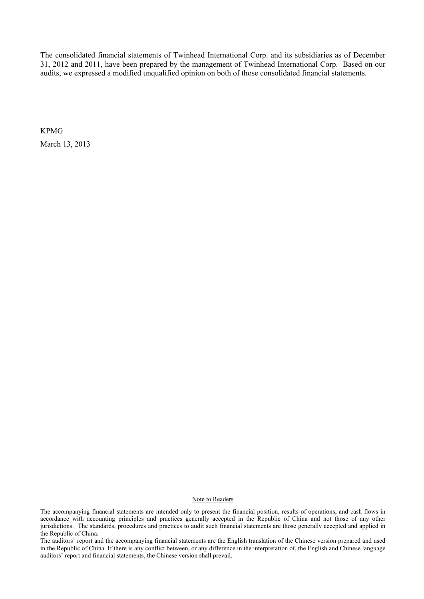The consolidated financial statements of Twinhead International Corp. and its subsidiaries as of December 31, 2012 and 2011, have been prepared by the management of Twinhead International Corp. Based on our audits, we expressed a modified unqualified opinion on both of those consolidated financial statements.

KPMG

March 13, 2013

#### Note to Readers

The accompanying financial statements are intended only to present the financial position, results of operations, and cash flows in accordance with accounting principles and practices generally accepted in the Republic of China and not those of any other jurisdictions. The standards, procedures and practices to audit such financial statements are those generally accepted and applied in the Republic of China.

The auditors' report and the accompanying financial statements are the English translation of the Chinese version prepared and used in the Republic of China. If there is any conflict between, or any difference in the interpretation of, the English and Chinese language auditors' report and financial statements, the Chinese version shall prevail.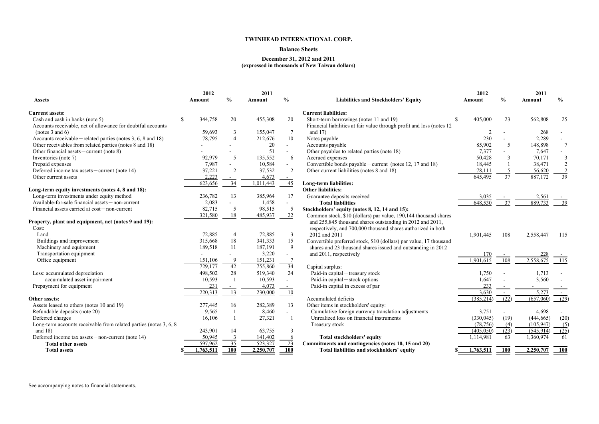### **Balance Sheets**

**December 31, 2012 and 2011 (expressed in thousands of New Taiwan dollars)**

|                                                                    | 2012          |                | 2011      |                 |                                                                        | 2012         |                 | 2011       |                |
|--------------------------------------------------------------------|---------------|----------------|-----------|-----------------|------------------------------------------------------------------------|--------------|-----------------|------------|----------------|
| <b>Assets</b>                                                      | Amount        | $\frac{6}{6}$  | Amount    | $\frac{6}{6}$   | <b>Liabilities and Stockholders' Equity</b>                            | Amount       | $\frac{0}{0}$   | Amount     | $\frac{6}{9}$  |
| <b>Current assets:</b>                                             |               |                |           |                 | <b>Current liabilities:</b>                                            |              |                 |            |                |
| Cash and cash in banks (note 5)                                    | 344,758<br>\$ | 20             | 455,308   | 20              | Short-term borrowings (notes 11 and 19)                                | 405,000<br>S | 23              | 562,808    | 25             |
| Accounts receivable, net of allowance for doubtful accounts        |               |                |           |                 | Financial liabilities at fair value through profit and loss (notes 12) |              |                 |            |                |
| (notes 3 and 6)                                                    | 59,693        | $\mathfrak{Z}$ | 155,047   | $\tau$          | and $17)$                                                              |              |                 | 268        |                |
| Accounts receivable – related parties (notes $3, 6, 8$ and 18)     | 78,795        | $\overline{4}$ | 212,676   | 10              | Notes payable                                                          | 230          |                 | 2,289      |                |
| Other receivables from related parties (notes 8 and 18)            |               |                | 20        | $\sim$          | Accounts payable                                                       | 85,902       | 5               | 148,898    |                |
| Other financial assets – current (note 8)                          |               |                | 51        | $\sim$          | Other payables to related parties (note 18)                            | 7,377        |                 | 7,647      |                |
| Inventories (note 7)                                               | 92,979        | 5              | 135,552   | 6               | Accrued expenses                                                       | 50,428       | 3               | 70,171     | $\mathfrak{Z}$ |
| Prepaid expenses                                                   | 7,987         |                | 10,584    |                 | Convertible bonds payable – current (notes 12, 17 and 18)              | 18,445       |                 | 38,471     | $\overline{2}$ |
| Deferred income tax assets – current (note $14$ )                  | 37,221        | 2              | 37,532    | 2               | Other current liabilities (notes 8 and 18)                             | 78,111       |                 | 56,620     |                |
| Other current assets                                               | 2,223         | $\sim$         | 4,673     |                 |                                                                        | 645,495      | 37              | 887,172    | 39             |
|                                                                    | 623,656       | 34             | 1,011,443 | 45              | Long-term liabilities:                                                 |              |                 |            |                |
| Long-term equity investments (notes 4, 8 and 18):                  |               |                |           |                 | <b>Other liabilities:</b>                                              |              |                 |            |                |
| Long-term investments under equity method                          | 236,782       | 13             | 385,964   | 17              | Guarantee deposits received                                            | 3,035        |                 | 2,561      |                |
| Available-for-sale financial assets - non-current                  | 2,083         |                | 1,458     |                 | <b>Total liabilities</b>                                               | 648,530      | 37              | 889,733    | 39             |
| Financial assets carried at cost - non-current                     | 82,715        |                | 98,515    | $\overline{5}$  | Stockholders' equity (notes 8, 12, 14 and 15):                         |              |                 |            |                |
|                                                                    | 321,580       | 18             | 485,937   | 22              | Common stock, \$10 (dollars) par value, 190,144 thousand shares        |              |                 |            |                |
| Property, plant and equipment, net (notes 9 and 19):               |               |                |           |                 | and 255,845 thousand shares outstanding in 2012 and 2011,              |              |                 |            |                |
| Cost:                                                              |               |                |           |                 | respectively, and 700,000 thousand shares authorized in both           |              |                 |            |                |
| Land                                                               | 72,885        | $\overline{4}$ | 72,885    | $\overline{3}$  | 2012 and 2011                                                          | 1,901,445    | 108             | 2,558,447  | 115            |
| Buildings and improvement                                          | 315,668       | 18             | 341,333   | 15              | Convertible preferred stock, \$10 (dollars) par value, 17 thousand     |              |                 |            |                |
| Machinery and equipment                                            | 189,518       | 11             | 187,191   | 9               | shares and 23 thousand shares issued and outstanding in 2012           |              |                 |            |                |
| Transportation equipment                                           |               |                | 3,220     |                 | and 2011, respectively                                                 | 170          |                 | 228        |                |
| Office equipment                                                   | 151,106       | 9              | 151,231   |                 |                                                                        | .901,615     | 108             | 2,558,675  | 115            |
|                                                                    | 729,177       | 42             | 755,860   | $\overline{34}$ | Capital surplus:                                                       |              |                 |            |                |
| Less: accumulated depreciation                                     | 498,502       | 28             | 519,340   | 24              | Paid-in capital – treasury stock                                       | 1,750        |                 | 1,713      |                |
| accumulated asset impairment                                       | 10,593        |                | 10,593    |                 | Paid-in capital – stock options                                        | 1,647        |                 | 3,560      |                |
| Prepayment for equipment                                           | 231           | $\sim$         | 4,073     | $\sim$          | Paid-in capital in excess of par                                       | 233          |                 |            |                |
|                                                                    | 220,313       | 13             | 230,000   | -10             |                                                                        | 3,630        | $\sim$          | 5,273      | $\sim$         |
| Other assets:                                                      |               |                |           |                 | Accumulated deficits                                                   | (385, 214)   | (22)            | (657,060)  | (29)           |
| Assets leased to others (notes 10 and 19)                          | 277,445       | 16             | 282,389   | 13              | Other items in stockholders' equity:                                   |              |                 |            |                |
| Refundable deposits (note 20)                                      | 9,565         |                | 8,460     |                 | Cumulative foreign currency translation adjustments                    | 3,751        |                 | 4,698      |                |
| Deferred charges                                                   | 16,106        |                | 27,321    |                 | Unrealized loss on financial instruments                               | (330, 045)   | (19)            | (444, 665) | (20)           |
| Long-term accounts receivable from related parties (notes 3, 6, 8) |               |                |           |                 | Treasury stock                                                         | (78, 756)    | $\underline{4}$ | (105, 947) | (5)            |
| and $18$ )                                                         | 243,901       | 14             | 63,755    | 3               |                                                                        | (405, 050)   | (23)            | (545, 914) | (25)           |
| Deferred income tax assets $-$ non-current (note 14)               | 50,945        | $\frac{3}{2}$  | 141,402   | <u>6</u>        | <b>Total stockholders' equity</b>                                      | 1,114,981    | 63              | 1,360,974  | 61             |
| <b>Total other assets</b>                                          | 597,962       | 35             | 523,327   | 23              | Commitments and contingencies (notes 10, 15 and 20)                    |              |                 |            |                |
| <b>Total assets</b>                                                | 1,763,511     | <b>100</b>     | 2,250,707 | <b>100</b>      | Total liabilities and stockholders' equity                             | 1,763,511    | 100             | 2,250,707  | 100            |

| 2012          | $\frac{0}{0}$  | 2011           | $\frac{1}{2}$                                                |
|---------------|----------------|----------------|--------------------------------------------------------------|
| <b>Amount</b> |                | <b>Amount</b>  |                                                              |
| \$<br>405,000 | 23             | 562,808        | 25                                                           |
| 2             |                | 268            |                                                              |
| 230           |                | 2,289          |                                                              |
| 85,902        | 5              | 148,898        | 7                                                            |
| 7,377         |                | 7,647          |                                                              |
| 50,428        | 3              | 70,171         |                                                              |
| 18,445        | $\mathbf{1}$   | 38,471         |                                                              |
| 78,111        | $\frac{5}{37}$ | 56,620         | $\begin{array}{r} 3 \\ 2 \\ \underline{2} \\ 39 \end{array}$ |
| 645,495       |                | <u>887,172</u> |                                                              |
|               |                |                |                                                              |
| <u>3,035</u>  |                | <u>2,561</u>   |                                                              |
| 648,530       | 37             | 889,733        | 39                                                           |
|               |                |                |                                                              |
| 1,901,445     | 108            | 2,558,447      | 115                                                          |
| 170           |                | <u>228</u>     |                                                              |
| 1,901,615     | 108            | 2,558,675      | 115                                                          |
| 1,750         |                | 1,713          |                                                              |
| 1,647         |                | 3,560          |                                                              |
| 233           |                |                |                                                              |
| 3,630         |                | 5,273          |                                                              |
| (385,214)     | (22)           | (657,060)      | (29)                                                         |
|               |                |                |                                                              |
| 3,751         |                | 4,698          |                                                              |
| (330, 045)    | (19)           | (444, 665)     | (20)                                                         |
| (78, 756)     | (4)            | (105, 947)     | (5)                                                          |
| (405, 050)    | (23)           | (545, 914)     | (25)                                                         |
| 1,114,981     | 63             | 1,360,974      | 61                                                           |
| 1,763,511     | 100            | 2,250,707      | <u> 100</u>                                                  |
|               |                |                |                                                              |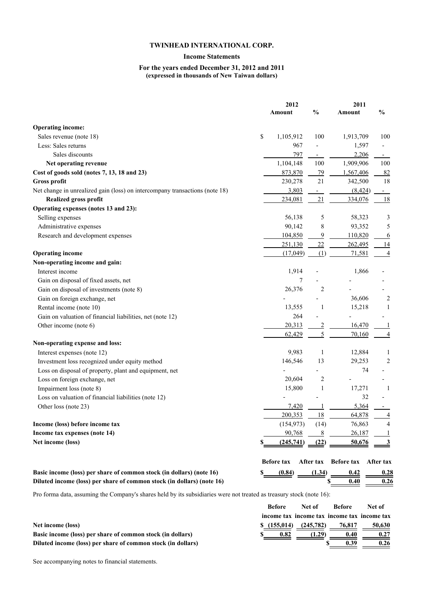### **Income Statements**

#### **For the years ended December 31, 2012 and 2011 (expressed in thousands of New Taiwan dollars)**

|                                                                             | 2012              |                | 2011              |               |  |
|-----------------------------------------------------------------------------|-------------------|----------------|-------------------|---------------|--|
|                                                                             | <b>Amount</b>     | $\frac{0}{0}$  | Amount            | $\frac{0}{0}$ |  |
| <b>Operating income:</b>                                                    |                   |                |                   |               |  |
| Sales revenue (note 18)                                                     | \$<br>1,105,912   | 100            | 1,913,709         | 100           |  |
| Less: Sales returns                                                         | 967               |                | 1,597             |               |  |
| Sales discounts                                                             | 797               |                | 2,206             | ۰.            |  |
| Net operating revenue                                                       | 1,104,148         | 100            | 1,909,906         | 100           |  |
| Cost of goods sold (notes 7, 13, 18 and 23)                                 | 873,870           | 79             | 1,567,406         | 82            |  |
| <b>Gross profit</b>                                                         | 230,278           | 21             | 342,500           | 18            |  |
| Net change in unrealized gain (loss) on intercompany transactions (note 18) | 3,803             |                | (8, 424)          | $\sim$        |  |
| <b>Realized gross profit</b>                                                | 234,081           | 21             | 334,076           | 18            |  |
| Operating expenses (notes 13 and 23):                                       |                   |                |                   |               |  |
| Selling expenses                                                            | 56,138            | 5              | 58,323            | 3             |  |
| Administrative expenses                                                     | 90,142            | 8              | 93,352            | 5             |  |
| Research and development expenses                                           | 104,850           | 9              | 110,820           | <u>6</u>      |  |
|                                                                             | 251,130           | 22             | 262,495           | <u>14</u>     |  |
| <b>Operating income</b>                                                     | (17,049)          | (1)            | 71,581            | 4             |  |
| Non-operating income and gain:                                              |                   |                |                   |               |  |
| Interest income                                                             | 1,914             |                | 1,866             |               |  |
| Gain on disposal of fixed assets, net                                       |                   |                |                   |               |  |
| Gain on disposal of investments (note 8)                                    | 26,376            | $\overline{2}$ |                   |               |  |
| Gain on foreign exchange, net                                               |                   |                | 36,606            | 2             |  |
| Rental income (note 10)                                                     | 13,555            | -1             | 15,218            | 1             |  |
| Gain on valuation of financial liabilities, net (note 12)                   | 264               |                |                   |               |  |
| Other income (note 6)                                                       | 20,313            | $\overline{2}$ | 16,470            |               |  |
|                                                                             | 62,429            | 5              | 70,160            |               |  |
| Non-operating expense and loss:                                             |                   |                |                   |               |  |
| Interest expenses (note 12)                                                 | 9,983             |                | 12,884            |               |  |
| Investment loss recognized under equity method                              | 146,546           | 13             | 29,253            | 2             |  |
| Loss on disposal of property, plant and equipment, net                      |                   |                | 74                |               |  |
| Loss on foreign exchange, net                                               | 20,604            | 2              |                   |               |  |
| Impairment loss (note 8)                                                    | 15,800            |                | 17,271            |               |  |
| Loss on valuation of financial liabilities (note 12)                        |                   |                | 32                |               |  |
| Other loss (note 23)                                                        | 7,420             |                | 5,364             |               |  |
|                                                                             | 200,353           | 18             | 64,878            |               |  |
| Income (loss) before income tax                                             | (154, 973)        | (14)           | 76,863            | 4             |  |
| Income tax expenses (note 14)                                               | 90,768            | 8              | 26,187            |               |  |
| Net income (loss)                                                           | (245,741)         | (22)           | 50,676            |               |  |
|                                                                             | <b>Before tax</b> | After tax      | <b>Before tax</b> | After tax     |  |
| Basic income (loss) per share of common stock (in dollars) (note 16)        | (0.84)            | (1.34)         | 0.42              | 0.28          |  |
| Diluted income (loss) per share of common stock (in dollars) (note 16)      |                   |                | 0.40<br>S         | 0.26          |  |

Pro forma data, assuming the Company's shares held by its subsidiaries were not treated as treasury stock (note 16):

|                                                              | <b>Before</b> | Net of    | <b>Before</b>                               | Net of |
|--------------------------------------------------------------|---------------|-----------|---------------------------------------------|--------|
|                                                              |               |           | income tax income tax income tax income tax |        |
| Net income (loss)                                            | \$(155,014)   | (245,782) | 76,817                                      | 50,630 |
| Basic income (loss) per share of common stock (in dollars)   | 0.82          | (1.29)    | 0.40                                        | 0.27   |
| Diluted income (loss) per share of common stock (in dollars) |               |           | 0.39                                        | 0.26   |

See accompanying notes to financial statements.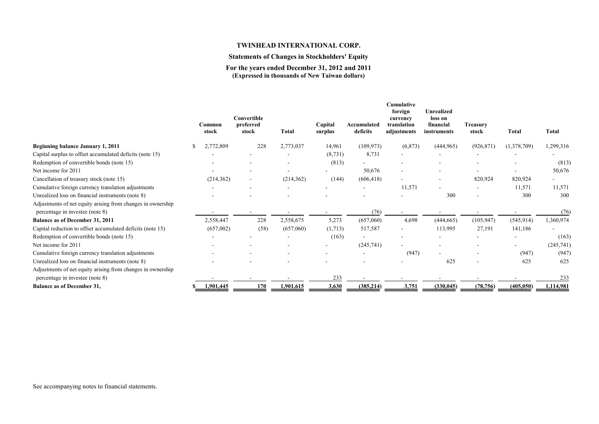### **Statements of Changes in Stockholders' Equity**

**For the years ended December 31, 2012 and 2011 (Expressed in thousands of New Taiwan dollars)**

|                                                             |    | Common     | Convertible<br>preferred |      |              | Capital  | Accumulated              | Cumulative<br>foreign<br>currency<br>translation | <b>Unrealized</b><br>loss on<br>financial | <b>Treasury</b>          |                          |            |
|-------------------------------------------------------------|----|------------|--------------------------|------|--------------|----------|--------------------------|--------------------------------------------------|-------------------------------------------|--------------------------|--------------------------|------------|
|                                                             |    | stock      | stock                    |      | <b>Total</b> | surplus  | deficits                 | adjustments                                      | instruments                               | stock                    | <b>Total</b>             | Total      |
| Beginning balance January 1, 2011                           | S. | ,772,809   |                          | 228  | 2,773,037    | 14,961   | (109, 973)               | (6, 873)                                         | (444, 965)                                | (926, 871)               | (1,378,709)              | 1,299,316  |
| Capital surplus to offset accumulated deficits (note 15)    |    |            |                          |      |              | (8, 731) | 8,731                    |                                                  |                                           |                          |                          |            |
| Redemption of convertible bonds (note 15)                   |    |            |                          |      |              | (813)    |                          |                                                  |                                           |                          |                          | (813)      |
| Net income for 2011                                         |    |            |                          |      |              |          | 50,676                   | $\qquad \qquad \blacksquare$                     |                                           |                          | $\sim$                   | 50,676     |
| Cancellation of treasury stock (note 15)                    |    | (214, 362) | $\blacksquare$           |      | (214, 362)   | (144)    | (606, 418)               | $\overline{\phantom{0}}$                         |                                           | 820,924                  | 820,924                  | -          |
| Cumulative foreign currency translation adjustments         |    |            | $\overline{\phantom{a}}$ |      |              |          |                          | 11,571                                           |                                           | $\overline{\phantom{a}}$ | 11,571                   | 11,571     |
| Unrealized loss on financial instruments (note 8)           |    |            |                          |      |              |          |                          |                                                  | 300                                       |                          | 300                      | 300        |
| Adjustments of net equity arising from changes in ownership |    |            |                          |      |              |          |                          |                                                  |                                           |                          |                          |            |
| percentage in investee (note 8)                             |    |            |                          |      |              |          | (76)                     |                                                  |                                           |                          |                          | (76)       |
| <b>Balance as of December 31, 2011</b>                      |    | 2,558,447  |                          | 228  | 2,558,675    | 5,273    | (657,060)                | 4,698                                            | (444, 665)                                | (105, 947)               | (545, 914)               | 1,360,974  |
| Capital reduction to offset accumulated deficits (note 15)  |    | (657,002)  |                          | (58) | (657,060)    | (1,713)  | 517,587                  |                                                  | 113,995                                   | 27,191                   | 141,186                  |            |
| Redemption of convertible bonds (note 15)                   |    |            |                          |      |              | (163)    |                          |                                                  |                                           |                          |                          | (163)      |
| Net income for 2011                                         |    |            |                          |      |              |          | (245,741)                |                                                  |                                           |                          | $\overline{\phantom{a}}$ | (245, 741) |
| Cumulative foreign currency translation adjustments         |    |            |                          |      |              |          | $\overline{\phantom{a}}$ | (947)                                            |                                           |                          | (947)                    | (947)      |
| Unrealized loss on financial instruments (note 8)           |    |            |                          |      |              |          |                          |                                                  | 625                                       |                          | 625                      | 625        |
| Adjustments of net equity arising from changes in ownership |    |            |                          |      |              |          |                          |                                                  |                                           |                          |                          |            |
| percentage in investee (note 8)                             |    |            |                          |      |              | 233      |                          |                                                  |                                           |                          |                          | 233        |
| <b>Balance as of December 31,</b>                           |    | 1,901,445  |                          | 170  | 1,901,615    | 3,630    | (385, 214)               | 3,751                                            | (330, 045)                                | (78, 756)                | (405, 050)               | 1,114,981  |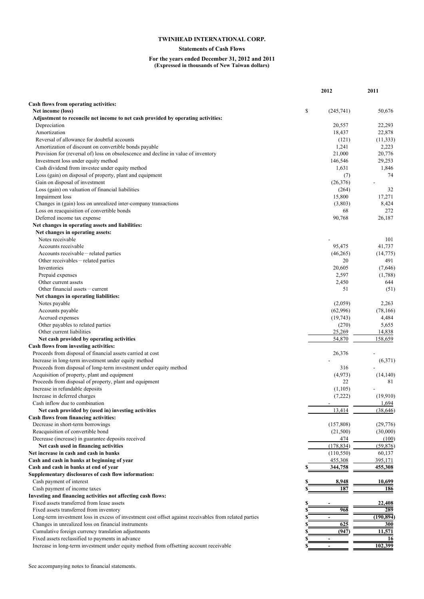### **Statements of Cash Flows**

#### **For the years ended December 31, 2012 and 2011 (Expressed in thousands of New Taiwan dollars)**

|                                                                                                        | 2012            | 2011           |
|--------------------------------------------------------------------------------------------------------|-----------------|----------------|
|                                                                                                        |                 |                |
| Cash flows from operating activities:                                                                  |                 |                |
| Net income (loss)                                                                                      | \$<br>(245,741) | 50,676         |
| Adjustment to reconcile net income to net cash provided by operating activities:<br>Depreciation       | 20,557          | 22,293         |
| Amortization                                                                                           | 18,437          | 22,878         |
| Reversal of allowance for doubtful accounts                                                            | (121)           | (11, 333)      |
| Amortization of discount on convertible bonds payable                                                  | 1,241           | 2,223          |
| Provision for (reversal of) loss on obsolescence and decline in value of inventory                     | 21,000          | 20,776         |
| Investment loss under equity method                                                                    | 146,546         | 29,253         |
| Cash dividend from investee under equity method                                                        | 1,631           | 1,846          |
| Loss (gain) on disposal of property, plant and equipment                                               | (7)             | 74             |
| Gain on disposal of investment                                                                         | (26,376)        | $\blacksquare$ |
| Loss (gain) on valuation of financial liabilities                                                      | (264)           | 32             |
| Impairment loss                                                                                        | 15,800          | 17,271         |
| Changes in (gain) loss on unrealized inter-company transactions                                        | (3,803)         | 8,424          |
| Loss on reacquisition of convertible bonds                                                             | 68              | 272            |
| Deferred income tax expense                                                                            | 90,768          | 26,187         |
| Net changes in operating assets and liabilities:                                                       |                 |                |
| Net changes in operating assets:                                                                       |                 |                |
| Notes receivable                                                                                       |                 | 101            |
| Accounts receivable                                                                                    | 95,475          | 41,737         |
| Accounts receivable – related parties                                                                  | (46, 265)       | (14, 775)      |
| Other receivables – related parties                                                                    | 20              | 491            |
| Inventories                                                                                            | 20,605          | (7,646)        |
| Prepaid expenses                                                                                       | 2,597           | (1,788)        |
| Other current assets                                                                                   | 2,450           | 644            |
| Other financial assets – current                                                                       | 51              | (51)           |
| Net changes in operating liabilities:                                                                  |                 |                |
| Notes payable                                                                                          | (2,059)         | 2,263          |
| Accounts payable                                                                                       | (62,996)        | (78, 166)      |
| Accrued expenses                                                                                       | (19, 743)       | 4,484          |
| Other payables to related parties                                                                      | (270)           | 5,655          |
| Other current liabilities                                                                              | 25,269          | 14,838         |
| Net cash provided by operating activities                                                              | 54,870          | 158,659        |
| Cash flows from investing activities:                                                                  |                 |                |
| Proceeds from disposal of financial assets carried at cost                                             | 26,376          |                |
| Increase in long-term investment under equity method                                                   |                 | (6,371)        |
| Proceeds from disposal of long-term investment under equity method                                     | 316             |                |
| Acquisition of property, plant and equipment                                                           | (4,973)         | (14, 140)      |
| Proceeds from disposal of property, plant and equipment                                                | 22              | 81             |
| Increase in refundable deposits                                                                        | (1,105)         |                |
| Increase in deferred charges                                                                           | (7,222)         | (19,910)       |
| Cash inflow due to combination                                                                         |                 | 1,694          |
| Net cash provided by (used in) investing activities                                                    | 13,414          | (38, 646)      |
| Cash flows from financing activities:                                                                  |                 |                |
| Decrease in short-term borrowings                                                                      | (157,808)       | (29,776)       |
| Reacquisition of convertible bond                                                                      | (21,500)        | (30,000)       |
| Decrease (increase) in guarantee deposits received                                                     | 474             | (100)          |
| Net cash used in financing activities                                                                  | (178, 834)      | (59, 876)      |
| Net increase in cash and cash in banks                                                                 | (110, 550)      | 60,137         |
| Cash and cash in banks at beginning of year                                                            | 455,308         | 395,171        |
| Cash and cash in banks at end of year                                                                  | 344,758         | 455,308        |
| Supplementary disclosures of cash flow information:                                                    |                 |                |
| Cash payment of interest                                                                               | 8,948           | 10,699         |
| Cash payment of income taxes                                                                           | 187             | 186            |
| Investing and financing activities not affecting cash flows:                                           |                 |                |
| Fixed assets transferred from lease assets                                                             |                 | 22,408         |
| Fixed assets transferred from inventory                                                                | 968             | 289            |
| Long-term investment loss in excess of investment cost offset against receivables from related parties |                 | (190, 894)     |
| Changes in unrealized loss on financial instruments                                                    | 625             | 300            |
| Cumulative foreign currency translation adjustments                                                    | (947            | 11,571         |
| Fixed assets reclassified to payments in advance                                                       |                 | 16             |
| Increase in long-term investment under equity method from offsetting account receivable                |                 | 102,399        |
|                                                                                                        |                 |                |

See accompanying notes to financial statements.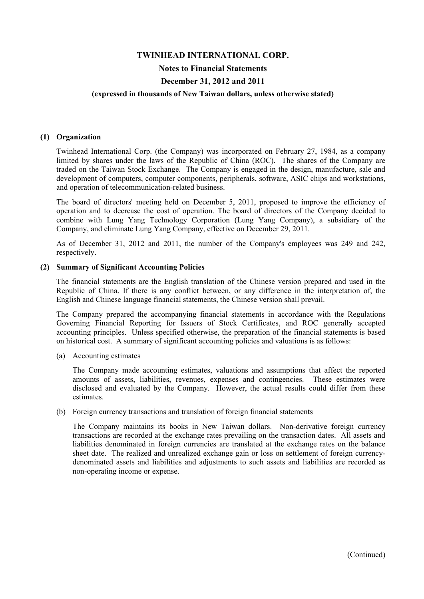#### **Notes to Financial Statements**

### **December 31, 2012 and 2011**

#### **(expressed in thousands of New Taiwan dollars, unless otherwise stated)**

#### **(1) Organization**

Twinhead International Corp. (the Company) was incorporated on February 27, 1984, as a company limited by shares under the laws of the Republic of China (ROC). The shares of the Company are traded on the Taiwan Stock Exchange. The Company is engaged in the design, manufacture, sale and development of computers, computer components, peripherals, software, ASIC chips and workstations, and operation of telecommunication-related business.

The board of directors' meeting held on December 5, 2011, proposed to improve the efficiency of operation and to decrease the cost of operation. The board of directors of the Company decided to combine with Lung Yang Technology Corporation (Lung Yang Company), a subsidiary of the Company, and eliminate Lung Yang Company, effective on December 29, 2011.

As of December 31, 2012 and 2011, the number of the Company's employees was 249 and 242, respectively.

#### **(2) Summary of Significant Accounting Policies**

The financial statements are the English translation of the Chinese version prepared and used in the Republic of China. If there is any conflict between, or any difference in the interpretation of, the English and Chinese language financial statements, the Chinese version shall prevail.

The Company prepared the accompanying financial statements in accordance with the Regulations Governing Financial Reporting for Issuers of Stock Certificates, and ROC generally accepted accounting principles. Unless specified otherwise, the preparation of the financial statements is based on historical cost. A summary of significant accounting policies and valuations is as follows:

(a) Accounting estimates

The Company made accounting estimates, valuations and assumptions that affect the reported amounts of assets, liabilities, revenues, expenses and contingencies. These estimates were disclosed and evaluated by the Company. However, the actual results could differ from these estimates.

(b) Foreign currency transactions and translation of foreign financial statements

The Company maintains its books in New Taiwan dollars. Non-derivative foreign currency transactions are recorded at the exchange rates prevailing on the transaction dates. All assets and liabilities denominated in foreign currencies are translated at the exchange rates on the balance sheet date. The realized and unrealized exchange gain or loss on settlement of foreign currencydenominated assets and liabilities and adjustments to such assets and liabilities are recorded as non-operating income or expense.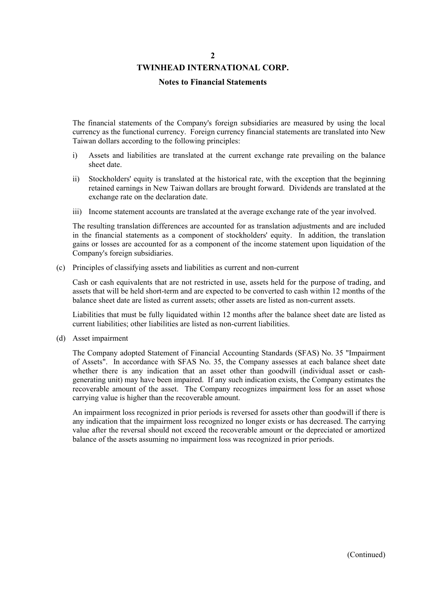### **TWINHEAD INTERNATIONAL CORP.**

#### **Notes to Financial Statements**

The financial statements of the Company's foreign subsidiaries are measured by using the local currency as the functional currency. Foreign currency financial statements are translated into New Taiwan dollars according to the following principles:

- i) Assets and liabilities are translated at the current exchange rate prevailing on the balance sheet date.
- ii) Stockholders' equity is translated at the historical rate, with the exception that the beginning retained earnings in New Taiwan dollars are brought forward. Dividends are translated at the exchange rate on the declaration date.
- iii) Income statement accounts are translated at the average exchange rate of the year involved.

The resulting translation differences are accounted for as translation adjustments and are included in the financial statements as a component of stockholders' equity. In addition, the translation gains or losses are accounted for as a component of the income statement upon liquidation of the Company's foreign subsidiaries.

(c) Principles of classifying assets and liabilities as current and non-current

Cash or cash equivalents that are not restricted in use, assets held for the purpose of trading, and assets that will be held short-term and are expected to be converted to cash within 12 months of the balance sheet date are listed as current assets; other assets are listed as non-current assets.

Liabilities that must be fully liquidated within 12 months after the balance sheet date are listed as current liabilities; other liabilities are listed as non-current liabilities.

(d) Asset impairment

The Company adopted Statement of Financial Accounting Standards (SFAS) No. 35 "Impairment of Assets". In accordance with SFAS No. 35, the Company assesses at each balance sheet date whether there is any indication that an asset other than goodwill (individual asset or cashgenerating unit) may have been impaired. If any such indication exists, the Company estimates the recoverable amount of the asset. The Company recognizes impairment loss for an asset whose carrying value is higher than the recoverable amount.

An impairment loss recognized in prior periods is reversed for assets other than goodwill if there is any indication that the impairment loss recognized no longer exists or has decreased. The carrying value after the reversal should not exceed the recoverable amount or the depreciated or amortized balance of the assets assuming no impairment loss was recognized in prior periods.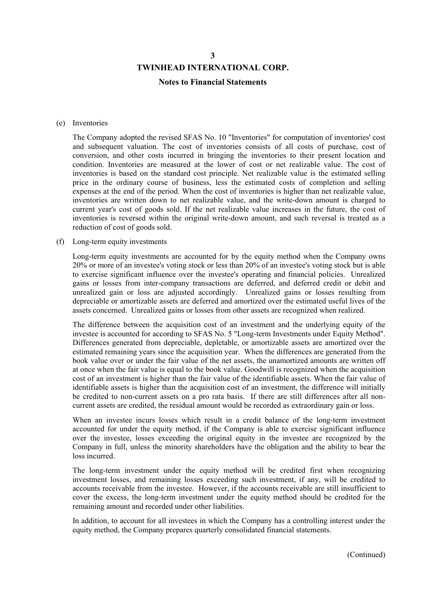#### **Notes to Financial Statements**

#### (e) Inventories

The Company adopted the revised SFAS No. 10 "Inventories" for computation of inventories' cost and subsequent valuation. The cost of inventories consists of all costs of purchase, cost of conversion, and other costs incurred in bringing the inventories to their present location and condition. Inventories are measured at the lower of cost or net realizable value. The cost of inventories is based on the standard cost principle. Net realizable value is the estimated selling price in the ordinary course of business, less the estimated costs of completion and selling expenses at the end of the period. When the cost of inventories is higher than net realizable value, inventories are written down to net realizable value, and the write-down amount is charged to current year's cost of goods sold. If the net realizable value increases in the future, the cost of inventories is reversed within the original write-down amount, and such reversal is treated as a reduction of cost of goods sold.

#### (f) Long-term equity investments

Long-term equity investments are accounted for by the equity method when the Company owns 20% or more of an investee's voting stock or less than 20% of an investee's voting stock but is able to exercise significant influence over the investee's operating and financial policies. Unrealized gains or losses from inter-company transactions are deferred, and deferred credit or debit and unrealized gain or loss are adjusted accordingly. Unrealized gains or losses resulting from depreciable or amortizable assets are deferred and amortized over the estimated useful lives of the assets concerned. Unrealized gains or losses from other assets are recognized when realized.

The difference between the acquisition cost of an investment and the underlying equity of the investee is accounted for according to SFAS No. 5 "Long-term Investments under Equity Method". Differences generated from depreciable, depletable, or amortizable assets are amortized over the estimated remaining years since the acquisition year. When the differences are generated from the book value over or under the fair value of the net assets, the unamortized amounts are written off at once when the fair value is equal to the book value. Goodwill is recognized when the acquisition cost of an investment is higher than the fair value of the identifiable assets. When the fair value of identifiable assets is higher than the acquisition cost of an investment, the difference will initially be credited to non-current assets on a pro rata basis. If there are still differences after all noncurrent assets are credited, the residual amount would be recorded as extraordinary gain or loss.

When an investee incurs losses which result in a credit balance of the long-term investment accounted for under the equity method, if the Company is able to exercise significant influence over the investee, losses exceeding the original equity in the investee are recognized by the Company in full, unless the minority shareholders have the obligation and the ability to bear the loss incurred.

The long-term investment under the equity method will be credited first when recognizing investment losses, and remaining losses exceeding such investment, if any, will be credited to accounts receivable from the investee. However, if the accounts receivable are still insufficient to cover the excess, the long-term investment under the equity method should be credited for the remaining amount and recorded under other liabilities.

In addition, to account for all investees in which the Company has a controlling interest under the equity method, the Company prepares quarterly consolidated financial statements.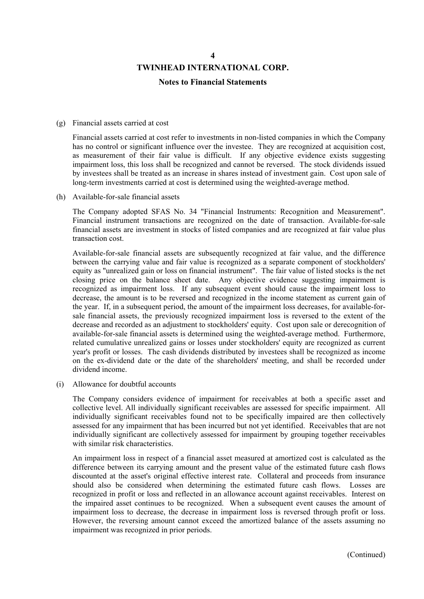#### **Notes to Financial Statements**

#### (g) Financial assets carried at cost

Financial assets carried at cost refer to investments in non-listed companies in which the Company has no control or significant influence over the investee. They are recognized at acquisition cost, as measurement of their fair value is difficult. If any objective evidence exists suggesting impairment loss, this loss shall be recognized and cannot be reversed. The stock dividends issued by investees shall be treated as an increase in shares instead of investment gain. Cost upon sale of long-term investments carried at cost is determined using the weighted-average method.

(h) Available-for-sale financial assets

The Company adopted SFAS No. 34 "Financial Instruments: Recognition and Measurement". Financial instrument transactions are recognized on the date of transaction. Available-for-sale financial assets are investment in stocks of listed companies and are recognized at fair value plus transaction cost.

Available-for-sale financial assets are subsequently recognized at fair value, and the difference between the carrying value and fair value is recognized as a separate component of stockholders' equity as "unrealized gain or loss on financial instrument". The fair value of listed stocks is the net closing price on the balance sheet date. Any objective evidence suggesting impairment is recognized as impairment loss. If any subsequent event should cause the impairment loss to decrease, the amount is to be reversed and recognized in the income statement as current gain of the year. If, in a subsequent period, the amount of the impairment loss decreases, for available-forsale financial assets, the previously recognized impairment loss is reversed to the extent of the decrease and recorded as an adjustment to stockholders' equity. Cost upon sale or derecognition of available-for-sale financial assets is determined using the weighted-average method. Furthermore, related cumulative unrealized gains or losses under stockholders' equity are recognized as current year's profit or losses. The cash dividends distributed by investees shall be recognized as income on the ex-dividend date or the date of the shareholders' meeting, and shall be recorded under dividend income.

(i) Allowance for doubtful accounts

The Company considers evidence of impairment for receivables at both a specific asset and collective level. All individually significant receivables are assessed for specific impairment. All individually significant receivables found not to be specifically impaired are then collectively assessed for any impairment that has been incurred but not yet identified. Receivables that are not individually significant are collectively assessed for impairment by grouping together receivables with similar risk characteristics.

An impairment loss in respect of a financial asset measured at amortized cost is calculated as the difference between its carrying amount and the present value of the estimated future cash flows discounted at the asset's original effective interest rate. Collateral and proceeds from insurance should also be considered when determining the estimated future cash flows. Losses are recognized in profit or loss and reflected in an allowance account against receivables. Interest on the impaired asset continues to be recognized. When a subsequent event causes the amount of impairment loss to decrease, the decrease in impairment loss is reversed through profit or loss. However, the reversing amount cannot exceed the amortized balance of the assets assuming no impairment was recognized in prior periods.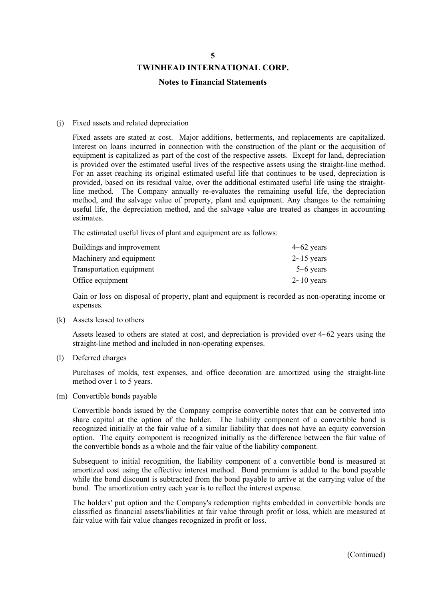#### **Notes to Financial Statements**

#### (j) Fixed assets and related depreciation

Fixed assets are stated at cost. Major additions, betterments, and replacements are capitalized. Interest on loans incurred in connection with the construction of the plant or the acquisition of equipment is capitalized as part of the cost of the respective assets. Except for land, depreciation is provided over the estimated useful lives of the respective assets using the straight-line method. For an asset reaching its original estimated useful life that continues to be used, depreciation is provided, based on its residual value, over the additional estimated useful life using the straightline method. The Company annually re-evaluates the remaining useful life, the depreciation method, and the salvage value of property, plant and equipment. Any changes to the remaining useful life, the depreciation method, and the salvage value are treated as changes in accounting estimates.

The estimated useful lives of plant and equipment are as follows:

| Buildings and improvement       | $4\neg 62$ years  |
|---------------------------------|-------------------|
| Machinery and equipment         | $2 \sim 15$ years |
| <b>Transportation equipment</b> | $5 - 6$ years     |
| Office equipment                | $2 \sim 10$ years |

Gain or loss on disposal of property, plant and equipment is recorded as non-operating income or expenses.

(k) Assets leased to others

Assets leased to others are stated at cost, and depreciation is provided over 4~62 years using the straight-line method and included in non-operating expenses.

(l) Deferred charges

Purchases of molds, test expenses, and office decoration are amortized using the straight-line method over 1 to 5 years.

(m) Convertible bonds payable

Convertible bonds issued by the Company comprise convertible notes that can be converted into share capital at the option of the holder. The liability component of a convertible bond is recognized initially at the fair value of a similar liability that does not have an equity conversion option. The equity component is recognized initially as the difference between the fair value of the convertible bonds as a whole and the fair value of the liability component.

Subsequent to initial recognition, the liability component of a convertible bond is measured at amortized cost using the effective interest method. Bond premium is added to the bond payable while the bond discount is subtracted from the bond payable to arrive at the carrying value of the bond. The amortization entry each year is to reflect the interest expense.

The holders' put option and the Company's redemption rights embedded in convertible bonds are classified as financial assets/liabilities at fair value through profit or loss, which are measured at fair value with fair value changes recognized in profit or loss.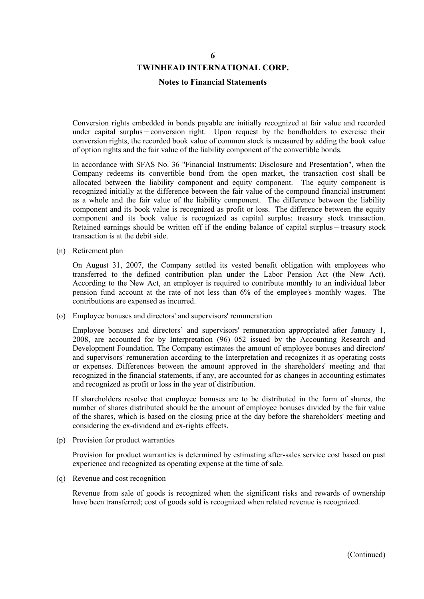#### **TWINHEAD INTERNATIONAL CORP.**

#### **Notes to Financial Statements**

Conversion rights embedded in bonds payable are initially recognized at fair value and recorded under capital surplus-conversion right. Upon request by the bondholders to exercise their conversion rights, the recorded book value of common stock is measured by adding the book value of option rights and the fair value of the liability component of the convertible bonds.

In accordance with SFAS No. 36 "Financial Instruments: Disclosure and Presentation", when the Company redeems its convertible bond from the open market, the transaction cost shall be allocated between the liability component and equity component. The equity component is recognized initially at the difference between the fair value of the compound financial instrument as a whole and the fair value of the liability component. The difference between the liability component and its book value is recognized as profit or loss. The difference between the equity component and its book value is recognized as capital surplus: treasury stock transaction. Retained earnings should be written off if the ending balance of capital surplus-treasury stock transaction is at the debit side.

(n) Retirement plan

On August 31, 2007, the Company settled its vested benefit obligation with employees who transferred to the defined contribution plan under the Labor Pension Act (the New Act). According to the New Act, an employer is required to contribute monthly to an individual labor pension fund account at the rate of not less than 6% of the employee's monthly wages. The contributions are expensed as incurred.

(o) Employee bonuses and directors' and supervisors' remuneration

Employee bonuses and directors' and supervisors' remuneration appropriated after January 1, 2008, are accounted for by Interpretation (96) 052 issued by the Accounting Research and Development Foundation. The Company estimates the amount of employee bonuses and directors' and supervisors' remuneration according to the Interpretation and recognizes it as operating costs or expenses. Differences between the amount approved in the shareholders' meeting and that recognized in the financial statements, if any, are accounted for as changes in accounting estimates and recognized as profit or loss in the year of distribution.

If shareholders resolve that employee bonuses are to be distributed in the form of shares, the number of shares distributed should be the amount of employee bonuses divided by the fair value of the shares, which is based on the closing price at the day before the shareholders' meeting and considering the ex-dividend and ex-rights effects.

(p) Provision for product warranties

Provision for product warranties is determined by estimating after-sales service cost based on past experience and recognized as operating expense at the time of sale.

(q) Revenue and cost recognition

Revenue from sale of goods is recognized when the significant risks and rewards of ownership have been transferred; cost of goods sold is recognized when related revenue is recognized.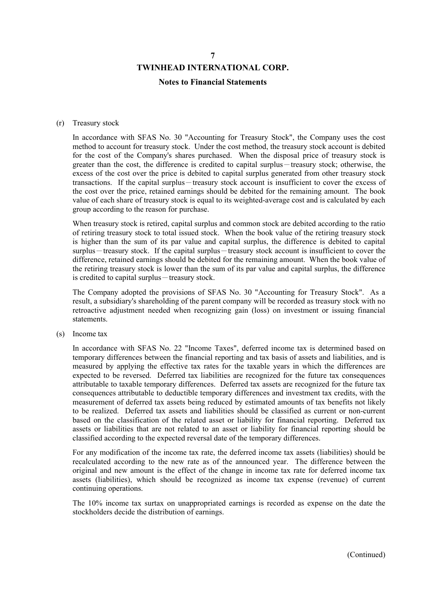#### **Notes to Financial Statements**

#### (r) Treasury stock

In accordance with SFAS No. 30 "Accounting for Treasury Stock", the Company uses the cost method to account for treasury stock. Under the cost method, the treasury stock account is debited for the cost of the Company's shares purchased. When the disposal price of treasury stock is greater than the cost, the difference is credited to capital surplus-treasury stock; otherwise, the excess of the cost over the price is debited to capital surplus generated from other treasury stock transactions. If the capital surplus-treasury stock account is insufficient to cover the excess of the cost over the price, retained earnings should be debited for the remaining amount. The book value of each share of treasury stock is equal to its weighted-average cost and is calculated by each group according to the reason for purchase.

When treasury stock is retired, capital surplus and common stock are debited according to the ratio of retiring treasury stock to total issued stock. When the book value of the retiring treasury stock is higher than the sum of its par value and capital surplus, the difference is debited to capital surplus-treasury stock. If the capital surplus-treasury stock account is insufficient to cover the difference, retained earnings should be debited for the remaining amount. When the book value of the retiring treasury stock is lower than the sum of its par value and capital surplus, the difference is credited to capital surplus-treasury stock.

The Company adopted the provisions of SFAS No. 30 "Accounting for Treasury Stock". As a result, a subsidiary's shareholding of the parent company will be recorded as treasury stock with no retroactive adjustment needed when recognizing gain (loss) on investment or issuing financial statements.

(s) Income tax

In accordance with SFAS No. 22 "Income Taxes", deferred income tax is determined based on temporary differences between the financial reporting and tax basis of assets and liabilities, and is measured by applying the effective tax rates for the taxable years in which the differences are expected to be reversed. Deferred tax liabilities are recognized for the future tax consequences attributable to taxable temporary differences. Deferred tax assets are recognized for the future tax consequences attributable to deductible temporary differences and investment tax credits, with the measurement of deferred tax assets being reduced by estimated amounts of tax benefits not likely to be realized. Deferred tax assets and liabilities should be classified as current or non-current based on the classification of the related asset or liability for financial reporting. Deferred tax assets or liabilities that are not related to an asset or liability for financial reporting should be classified according to the expected reversal date of the temporary differences.

For any modification of the income tax rate, the deferred income tax assets (liabilities) should be recalculated according to the new rate as of the announced year. The difference between the original and new amount is the effect of the change in income tax rate for deferred income tax assets (liabilities), which should be recognized as income tax expense (revenue) of current continuing operations.

The 10% income tax surtax on unappropriated earnings is recorded as expense on the date the stockholders decide the distribution of earnings.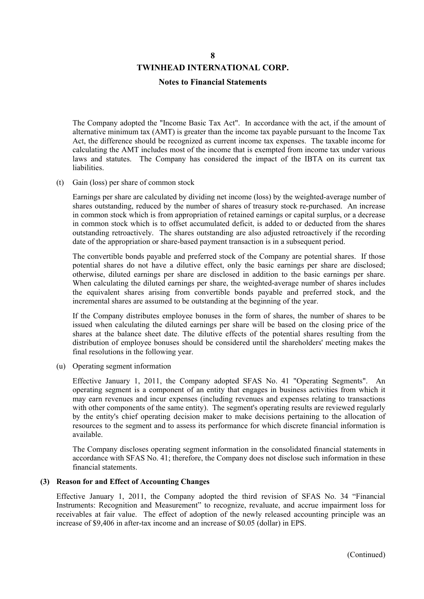#### **Notes to Financial Statements**

The Company adopted the "Income Basic Tax Act". In accordance with the act, if the amount of alternative minimum tax (AMT) is greater than the income tax payable pursuant to the Income Tax Act, the difference should be recognized as current income tax expenses. The taxable income for calculating the AMT includes most of the income that is exempted from income tax under various laws and statutes. The Company has considered the impact of the IBTA on its current tax liabilities.

(t) Gain (loss) per share of common stock

Earnings per share are calculated by dividing net income (loss) by the weighted-average number of shares outstanding, reduced by the number of shares of treasury stock re-purchased. An increase in common stock which is from appropriation of retained earnings or capital surplus, or a decrease in common stock which is to offset accumulated deficit, is added to or deducted from the shares outstanding retroactively. The shares outstanding are also adjusted retroactively if the recording date of the appropriation or share-based payment transaction is in a subsequent period.

The convertible bonds payable and preferred stock of the Company are potential shares. If those potential shares do not have a dilutive effect, only the basic earnings per share are disclosed; otherwise, diluted earnings per share are disclosed in addition to the basic earnings per share. When calculating the diluted earnings per share, the weighted-average number of shares includes the equivalent shares arising from convertible bonds payable and preferred stock, and the incremental shares are assumed to be outstanding at the beginning of the year.

If the Company distributes employee bonuses in the form of shares, the number of shares to be issued when calculating the diluted earnings per share will be based on the closing price of the shares at the balance sheet date. The dilutive effects of the potential shares resulting from the distribution of employee bonuses should be considered until the shareholders' meeting makes the final resolutions in the following year.

(u) Operating segment information

Effective January 1, 2011, the Company adopted SFAS No. 41 "Operating Segments". An operating segment is a component of an entity that engages in business activities from which it may earn revenues and incur expenses (including revenues and expenses relating to transactions with other components of the same entity). The segment's operating results are reviewed regularly by the entity's chief operating decision maker to make decisions pertaining to the allocation of resources to the segment and to assess its performance for which discrete financial information is available.

The Company discloses operating segment information in the consolidated financial statements in accordance with SFAS No. 41; therefore, the Company does not disclose such information in these financial statements.

#### **(3) Reason for and Effect of Accounting Changes**

Effective January 1, 2011, the Company adopted the third revision of SFAS No. 34 "Financial Instruments: Recognition and Measurement" to recognize, revaluate, and accrue impairment loss for receivables at fair value. The effect of adoption of the newly released accounting principle was an increase of \$9,406 in after-tax income and an increase of \$0.05 (dollar) in EPS.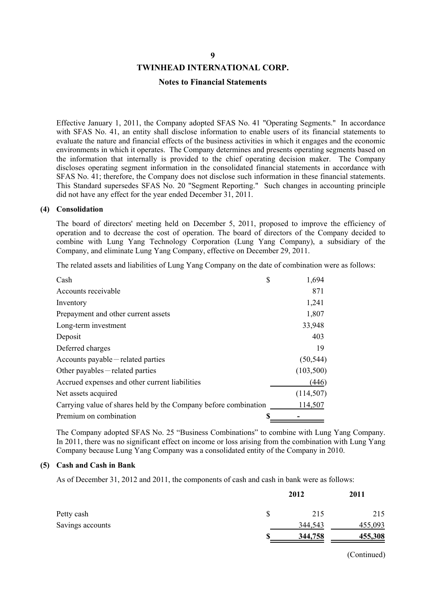#### **Notes to Financial Statements**

Effective January 1, 2011, the Company adopted SFAS No. 41 "Operating Segments." In accordance with SFAS No. 41, an entity shall disclose information to enable users of its financial statements to evaluate the nature and financial effects of the business activities in which it engages and the economic environments in which it operates. The Company determines and presents operating segments based on the information that internally is provided to the chief operating decision maker. The Company discloses operating segment information in the consolidated financial statements in accordance with SFAS No. 41; therefore, the Company does not disclose such information in these financial statements. This Standard supersedes SFAS No. 20 "Segment Reporting." Such changes in accounting principle did not have any effect for the year ended December 31, 2011.

#### **(4) Consolidation**

The board of directors' meeting held on December 5, 2011, proposed to improve the efficiency of operation and to decrease the cost of operation. The board of directors of the Company decided to combine with Lung Yang Technology Corporation (Lung Yang Company), a subsidiary of the Company, and eliminate Lung Yang Company, effective on December 29, 2011.

The related assets and liabilities of Lung Yang Company on the date of combination were as follows:

| Cash                                                            | \$<br>1,694 |
|-----------------------------------------------------------------|-------------|
| Accounts receivable                                             | 871         |
| Inventory                                                       | 1,241       |
| Prepayment and other current assets                             | 1,807       |
| Long-term investment                                            | 33,948      |
| Deposit                                                         | 403         |
| Deferred charges                                                | 19          |
| $Accounts$ payable $-$ related parties                          | (50, 544)   |
| Other payables – related parties                                | (103,500)   |
| Accrued expenses and other current liabilities                  | (446)       |
| Net assets acquired                                             | (114, 507)  |
| Carrying value of shares held by the Company before combination | 114,507     |
| Premium on combination                                          |             |

The Company adopted SFAS No. 25 "Business Combinations" to combine with Lung Yang Company. In 2011, there was no significant effect on income or loss arising from the combination with Lung Yang Company because Lung Yang Company was a consolidated entity of the Company in 2010.

#### **(5) Cash and Cash in Bank**

As of December 31, 2012 and 2011, the components of cash and cash in bank were as follows:

|                  | 2012    | 2011    |
|------------------|---------|---------|
| Petty cash       | 215     | 215     |
| Savings accounts | 344,543 | 455,093 |
|                  | 344,758 | 455,308 |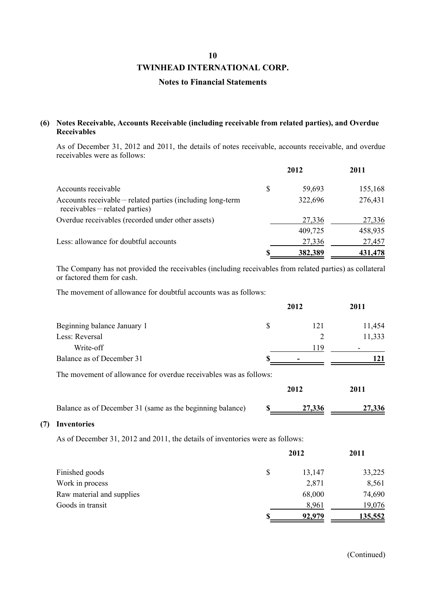#### **TWINHEAD INTERNATIONAL CORP.**

#### **Notes to Financial Statements**

#### **(6) Notes Receivable, Accounts Receivable (including receivable from related parties), and Overdue Receivables**

As of December 31, 2012 and 2011, the details of notes receivable, accounts receivable, and overdue receivables were as follows:

|                                                                                               |    | 2012    | 2011    |
|-----------------------------------------------------------------------------------------------|----|---------|---------|
| Accounts receivable                                                                           | \$ | 59,693  | 155,168 |
| Accounts receivable – related parties (including long-term<br>$recevables$ – related parties) |    | 322,696 | 276,431 |
| Overdue receivables (recorded under other assets)                                             |    | 27,336  | 27,336  |
|                                                                                               |    | 409,725 | 458,935 |
| Less: allowance for doubtful accounts                                                         |    | 27,336  | 27,457  |
|                                                                                               | S  | 382,389 | 431,478 |

The Company has not provided the receivables (including receivables from related parties) as collateral or factored them for cash.

The movement of allowance for doubtful accounts was as follows:

|                                                                   | 2012      | 2011   |
|-------------------------------------------------------------------|-----------|--------|
| Beginning balance January 1                                       | \$<br>121 | 11,454 |
| Less: Reversal                                                    | 2         | 11,333 |
| Write-off                                                         | 119       |        |
| Balance as of December 31                                         |           | 121    |
| The movement of allowance for overdue receivables was as follows: |           |        |
|                                                                   | 2012      | 2011   |
| Balance as of December 31 (same as the beginning balance)         | 27,336    | 27,336 |
| <b>Inventories</b>                                                |           |        |

As of December 31, 2012 and 2011, the details of inventories were as follows:

**(7) Inventories**

|                           |    | 2012   | 2011    |
|---------------------------|----|--------|---------|
| Finished goods            | \$ | 13,147 | 33,225  |
| Work in process           |    | 2,871  | 8,561   |
| Raw material and supplies |    | 68,000 | 74,690  |
| Goods in transit          |    | 8,961  | 19,076  |
|                           | S  | 92,979 | 135,552 |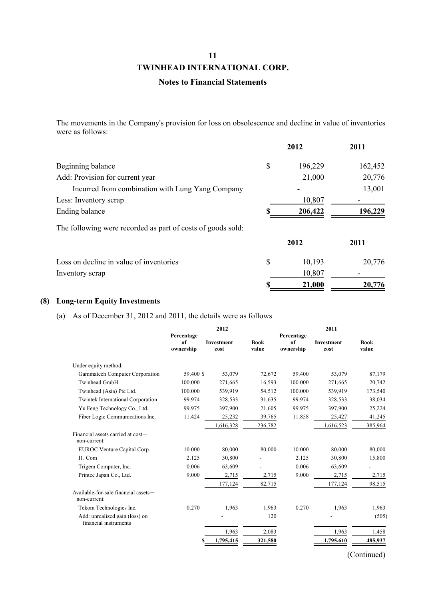#### **Notes to Financial Statements**

The movements in the Company's provision for loss on obsolescence and decline in value of inventories were as follows:

|                                                             | 2012          | 2011    |
|-------------------------------------------------------------|---------------|---------|
| Beginning balance                                           | \$<br>196,229 | 162,452 |
| Add: Provision for current year                             | 21,000        | 20,776  |
| Incurred from combination with Lung Yang Company            |               | 13,001  |
| Less: Inventory scrap                                       | 10,807        |         |
| Ending balance                                              | 206,422       | 196,229 |
| The following were recorded as part of costs of goods sold: |               |         |
|                                                             | 2012          | 2011    |
| Loss on decline in value of inventories                     | \$<br>10,193  | 20,776  |
| Inventory scrap                                             | 10,807        |         |
|                                                             | 21,000        | 20,776  |

#### **(8) Long-term Equity Investments**

(a) As of December 31, 2012 and 2011, the details were as follows

|                                                         |                 | 2012               |                      |                 | 2011                      |                      |  |
|---------------------------------------------------------|-----------------|--------------------|----------------------|-----------------|---------------------------|----------------------|--|
|                                                         | Percentage      |                    |                      | Percentage      |                           |                      |  |
|                                                         | of<br>ownership | Investment<br>cost | <b>Book</b><br>value | of<br>ownership | <b>Investment</b><br>cost | <b>Book</b><br>value |  |
|                                                         |                 |                    |                      |                 |                           |                      |  |
| Under equity method:                                    |                 |                    |                      |                 |                           |                      |  |
| Gammatech Computer Corporation                          | 59.400 \$       | 53,079             | 72,672               | 59.400          | 53,079                    | 87,179               |  |
| Twinhead GmbH                                           | 100.000         | 271,665            | 16,593               | 100.000         | 271,665                   | 20,742               |  |
| Twinhead (Asia) Pte Ltd.                                | 100.000         | 539,919            | 54,512               | 100.000         | 539,919                   | 173,540              |  |
| <b>Twintek International Corporation</b>                | 99.974          | 328,533            | 31,635               | 99.974          | 328,533                   | 38,034               |  |
| Yu Feng Technology Co., Ltd.                            | 99.975          | 397,900            | 21,605               | 99.975          | 397,900                   | 25,224               |  |
| Fiber Logic Communications Inc.                         | 11.424          | 25,232             | 39,765               | 11.858          | 25,427                    | 41,245               |  |
|                                                         |                 | 1,616,328          | 236,782              |                 | 1,616,523                 | 385,964              |  |
| Financial assets carried at cost-<br>non-current:       |                 |                    |                      |                 |                           |                      |  |
| EUROC Venture Capital Corp.                             | 10.000          | 80,000             | 80,000               | 10.000          | 80,000                    | 80,000               |  |
| I1. Com                                                 | 2.125           | 30,800             |                      | 2.125           | 30,800                    | 15,800               |  |
| Trigem Computer, Inc.                                   | 0.006           | 63,609             |                      | 0.006           | 63,609                    |                      |  |
| Printec Japan Co., Ltd.                                 | 9.000           | 2,715              | 2,715                | 9.000           | 2,715                     | 2,715                |  |
|                                                         |                 | 177,124            | 82,715               |                 | 177,124                   | 98,515               |  |
| Available-for-sale financial assets-<br>non-current:    |                 |                    |                      |                 |                           |                      |  |
| Tekom Technologies Inc.                                 | 0.270           | 1,963              | 1,963                | 0.270           | 1,963                     | 1,963                |  |
| Add: unrealized gain (loss) on<br>financial instruments |                 |                    | 120                  |                 |                           | (505)                |  |
|                                                         |                 | 1,963              | 2,083                |                 | 1,963                     | 1,458                |  |
|                                                         |                 | 1,795,415          | 321,580              |                 | 1,795,610                 | 485,937              |  |
|                                                         |                 |                    |                      |                 |                           |                      |  |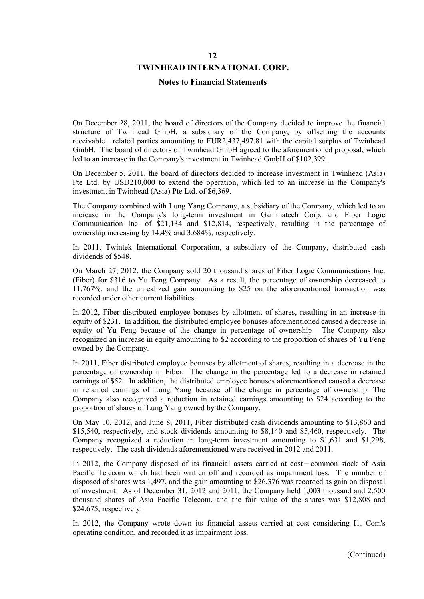#### **TWINHEAD INTERNATIONAL CORP.**

#### **Notes to Financial Statements**

On December 28, 2011, the board of directors of the Company decided to improve the financial structure of Twinhead GmbH, a subsidiary of the Company, by offsetting the accounts receivable-related parties amounting to EUR2,437,497.81 with the capital surplus of Twinhead GmbH. The board of directors of Twinhead GmbH agreed to the aforementioned proposal, which led to an increase in the Company's investment in Twinhead GmbH of \$102,399.

On December 5, 2011, the board of directors decided to increase investment in Twinhead (Asia) Pte Ltd. by USD210,000 to extend the operation, which led to an increase in the Company's investment in Twinhead (Asia) Pte Ltd. of \$6,369.

The Company combined with Lung Yang Company, a subsidiary of the Company, which led to an increase in the Company's long-term investment in Gammatech Corp. and Fiber Logic Communication Inc. of \$21,134 and \$12,814, respectively, resulting in the percentage of ownership increasing by 14.4% and 3.684%, respectively.

In 2011, Twintek International Corporation, a subsidiary of the Company, distributed cash dividends of \$548.

On March 27, 2012, the Company sold 20 thousand shares of Fiber Logic Communications Inc. (Fiber) for \$316 to Yu Feng Company. As a result, the percentage of ownership decreased to 11.767%, and the unrealized gain amounting to \$25 on the aforementioned transaction was recorded under other current liabilities.

In 2012, Fiber distributed employee bonuses by allotment of shares, resulting in an increase in equity of \$231. In addition, the distributed employee bonuses aforementioned caused a decrease in equity of Yu Feng because of the change in percentage of ownership. The Company also recognized an increase in equity amounting to \$2 according to the proportion of shares of Yu Feng owned by the Company.

In 2011, Fiber distributed employee bonuses by allotment of shares, resulting in a decrease in the percentage of ownership in Fiber. The change in the percentage led to a decrease in retained earnings of \$52. In addition, the distributed employee bonuses aforementioned caused a decrease in retained earnings of Lung Yang because of the change in percentage of ownership. The Company also recognized a reduction in retained earnings amounting to \$24 according to the proportion of shares of Lung Yang owned by the Company.

On May 10, 2012, and June 8, 2011, Fiber distributed cash dividends amounting to \$13,860 and \$15,540, respectively, and stock dividends amounting to \$8,140 and \$5,460, respectively. The Company recognized a reduction in long-term investment amounting to \$1,631 and \$1,298, respectively. The cash dividends aforementioned were received in 2012 and 2011.

In 2012, the Company disposed of its financial assets carried at cost-common stock of Asia Pacific Telecom which had been written off and recorded as impairment loss. The number of disposed of shares was 1,497, and the gain amounting to \$26,376 was recorded as gain on disposal of investment. As of December 31, 2012 and 2011, the Company held 1,003 thousand and 2,500 thousand shares of Asia Pacific Telecom, and the fair value of the shares was \$12,808 and \$24,675, respectively.

In 2012, the Company wrote down its financial assets carried at cost considering I1. Com's operating condition, and recorded it as impairment loss.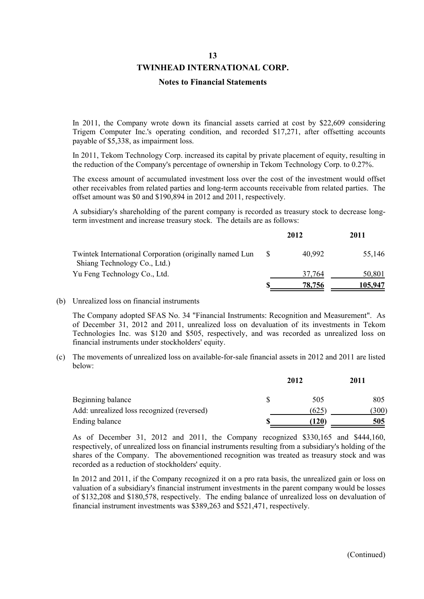#### **Notes to Financial Statements**

In 2011, the Company wrote down its financial assets carried at cost by \$22,609 considering Trigem Computer Inc.'s operating condition, and recorded \$17,271, after offsetting accounts payable of \$5,338, as impairment loss.

In 2011, Tekom Technology Corp. increased its capital by private placement of equity, resulting in the reduction of the Company's percentage of ownership in Tekom Technology Corp. to 0.27%.

The excess amount of accumulated investment loss over the cost of the investment would offset other receivables from related parties and long-term accounts receivable from related parties. The offset amount was \$0 and \$190,894 in 2012 and 2011, respectively.

A subsidiary's shareholding of the parent company is recorded as treasury stock to decrease longterm investment and increase treasury stock. The details are as follows:

|                                                                                         | 2012   | 2011    |
|-----------------------------------------------------------------------------------------|--------|---------|
| Twintek International Corporation (originally named Lun<br>Shiang Technology Co., Ltd.) | 40,992 | 55,146  |
| Yu Feng Technology Co., Ltd.                                                            | 37,764 | 50,801  |
|                                                                                         | 78.756 | 105,947 |

#### (b) Unrealized loss on financial instruments

The Company adopted SFAS No. 34 "Financial Instruments: Recognition and Measurement". As of December 31, 2012 and 2011, unrealized loss on devaluation of its investments in Tekom Technologies Inc. was \$120 and \$505, respectively, and was recorded as unrealized loss on financial instruments under stockholders' equity.

(c) The movements of unrealized loss on available-for-sale financial assets in 2012 and 2011 are listed below:

|                                            | 2012      | 2011  |
|--------------------------------------------|-----------|-------|
| Beginning balance                          | \$<br>505 | 805   |
| Add: unrealized loss recognized (reversed) | (625      | (300) |
| Ending balance                             | (120)     | 505   |

As of December 31, 2012 and 2011, the Company recognized \$330,165 and \$444,160, respectively, of unrealized loss on financial instruments resulting from a subsidiary's holding of the shares of the Company. The abovementioned recognition was treated as treasury stock and was recorded as a reduction of stockholders' equity.

In 2012 and 2011, if the Company recognized it on a pro rata basis, the unrealized gain or loss on valuation of a subsidiary's financial instrument investments in the parent company would be losses of \$132,208 and \$180,578, respectively. The ending balance of unrealized loss on devaluation of financial instrument investments was \$389,263 and \$521,471, respectively.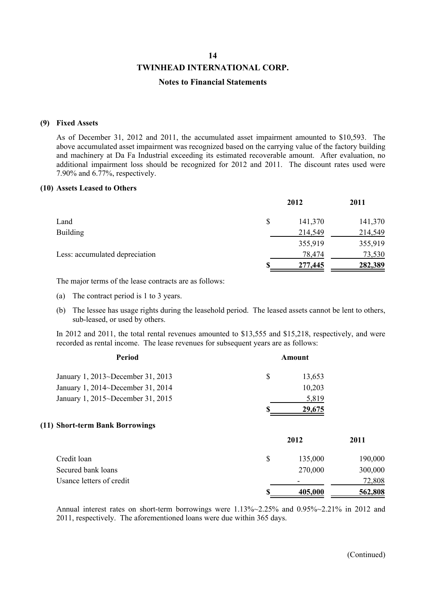#### **TWINHEAD INTERNATIONAL CORP.**

#### **Notes to Financial Statements**

#### **(9) Fixed Assets**

As of December 31, 2012 and 2011, the accumulated asset impairment amounted to \$10,593. The above accumulated asset impairment was recognized based on the carrying value of the factory building and machinery at Da Fa Industrial exceeding its estimated recoverable amount. After evaluation, no additional impairment loss should be recognized for 2012 and 2011. The discount rates used were 7.90% and 6.77%, respectively.

#### **(10) Assets Leased to Others**

|                                |   | 2012    | 2011    |
|--------------------------------|---|---------|---------|
| Land                           | S | 141,370 | 141,370 |
| <b>Building</b>                |   | 214,549 | 214,549 |
|                                |   | 355,919 | 355,919 |
| Less: accumulated depreciation |   | 78,474  | 73,530  |
|                                |   | 277,445 | 282,389 |
|                                |   |         |         |

The major terms of the lease contracts are as follows:

- (a) The contract period is 1 to 3 years.
- (b) The lessee has usage rights during the leasehold period. The leased assets cannot be lent to others, sub-leased, or used by others.

In 2012 and 2011, the total rental revenues amounted to \$13,555 and \$15,218, respectively, and were recorded as rental income. The lease revenues for subsequent years are as follows:

| Period                            |    | <b>Amount</b> |         |  |
|-----------------------------------|----|---------------|---------|--|
| January 1, 2013~December 31, 2013 | \$ | 13,653        |         |  |
| January 1, 2014~December 31, 2014 |    | 10,203        |         |  |
| January 1, 2015~December 31, 2015 |    | 5,819         |         |  |
|                                   |    | 29,675        |         |  |
| (11) Short-term Bank Borrowings   |    |               |         |  |
|                                   |    | 2012          | 2011    |  |
| Credit loan                       | \$ | 135,000       | 190,000 |  |
| Secured bank loans                |    | 270,000       | 300,000 |  |
| Usance letters of credit          |    |               | 72,808  |  |
|                                   |    | 405,000       | 562,808 |  |

Annual interest rates on short-term borrowings were 1.13%~2.25% and 0.95%~2.21% in 2012 and 2011, respectively. The aforementioned loans were due within 365 days.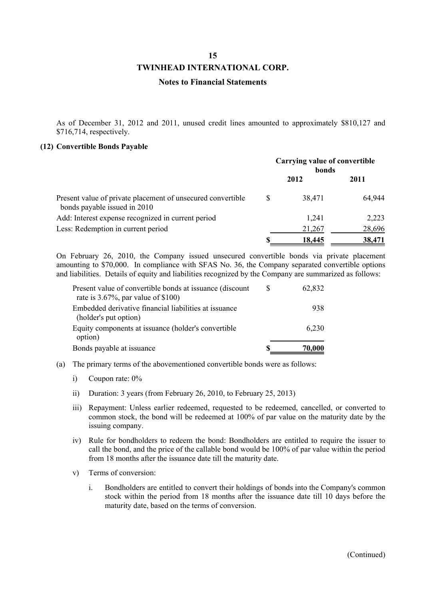#### **TWINHEAD INTERNATIONAL CORP.**

#### **Notes to Financial Statements**

As of December 31, 2012 and 2011, unused credit lines amounted to approximately \$810,127 and \$716,714, respectively.

#### **(12) Convertible Bonds Payable**

|                                                                                             | <b>Carrying value of convertible</b><br>bonds |        |        |
|---------------------------------------------------------------------------------------------|-----------------------------------------------|--------|--------|
|                                                                                             |                                               | 2012   | 2011   |
| Present value of private placement of unsecured convertible<br>bonds payable issued in 2010 | S                                             | 38,471 | 64,944 |
| Add: Interest expense recognized in current period                                          |                                               | 1,241  | 2,223  |
| Less: Redemption in current period                                                          |                                               | 21,267 | 28,696 |
|                                                                                             | S                                             | 18,445 | 38,471 |

On February 26, 2010, the Company issued unsecured convertible bonds via private placement amounting to \$70,000. In compliance with SFAS No. 36, the Company separated convertible options and liabilities. Details of equity and liabilities recognized by the Company are summarized as follows:

| Present value of convertible bonds at issuance (discount<br>rate is $3.67\%$ , par value of \$100) | S | 62,832 |
|----------------------------------------------------------------------------------------------------|---|--------|
| Embedded derivative financial liabilities at issuance                                              |   | 938    |
| (holder's put option)<br>Equity components at issuance (holder's convertible                       |   | 6.230  |
| option)                                                                                            |   |        |
| Bonds payable at issuance                                                                          |   | 70,000 |

- (a) The primary terms of the abovementioned convertible bonds were as follows:
	- i) Coupon rate: 0%
	- ii) Duration: 3 years (from February 26, 2010, to February 25, 2013)
	- iii) Repayment: Unless earlier redeemed, requested to be redeemed, cancelled, or converted to common stock, the bond will be redeemed at 100% of par value on the maturity date by the issuing company.
	- iv) Rule for bondholders to redeem the bond: Bondholders are entitled to require the issuer to call the bond, and the price of the callable bond would be 100% of par value within the period from 18 months after the issuance date till the maturity date.
	- v) Terms of conversion:
		- i. Bondholders are entitled to convert their holdings of bonds into the Company's common stock within the period from 18 months after the issuance date till 10 days before the maturity date, based on the terms of conversion.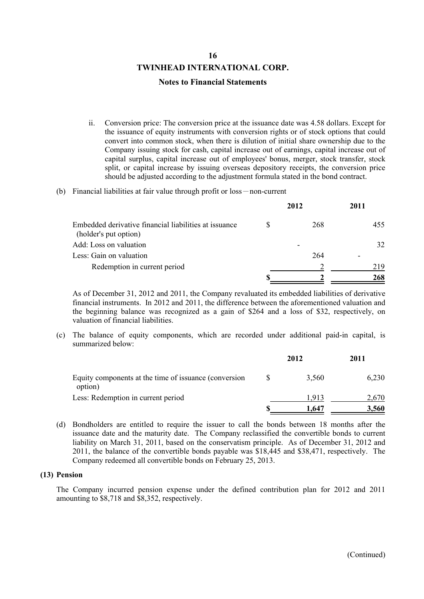#### **Notes to Financial Statements**

- ii. Conversion price: The conversion price at the issuance date was 4.58 dollars. Except for the issuance of equity instruments with conversion rights or of stock options that could convert into common stock, when there is dilution of initial share ownership due to the Company issuing stock for cash, capital increase out of earnings, capital increase out of capital surplus, capital increase out of employees' bonus, merger, stock transfer, stock split, or capital increase by issuing overseas depository receipts, the conversion price should be adjusted according to the adjustment formula stated in the bond contract.
- (b) Financial liabilities at fair value through profit or loss-non-current

|                                                                                | 2012 | 2011 |
|--------------------------------------------------------------------------------|------|------|
| Embedded derivative financial liabilities at issuance<br>(holder's put option) | 268  | 455  |
| Add: Loss on valuation                                                         |      | 32   |
| Less: Gain on valuation                                                        | 264  |      |
| Redemption in current period                                                   |      | 219  |
|                                                                                |      | 268  |

As of December 31, 2012 and 2011, the Company revaluated its embedded liabilities of derivative financial instruments. In 2012 and 2011, the difference between the aforementioned valuation and the beginning balance was recognized as a gain of \$264 and a loss of \$32, respectively, on valuation of financial liabilities.

(c) The balance of equity components, which are recorded under additional paid-in capital, is summarized below:

|                                                                  |  | 2012  | 2011  |  |
|------------------------------------------------------------------|--|-------|-------|--|
| Equity components at the time of issuance (conversion<br>option) |  | 3,560 | 6.230 |  |
| Less: Redemption in current period                               |  | 1913  | 2.670 |  |
|                                                                  |  | 1,647 | 3,560 |  |

(d) Bondholders are entitled to require the issuer to call the bonds between 18 months after the issuance date and the maturity date. The Company reclassified the convertible bonds to current liability on March 31, 2011, based on the conservatism principle. As of December 31, 2012 and 2011, the balance of the convertible bonds payable was \$18,445 and \$38,471, respectively. The Company redeemed all convertible bonds on February 25, 2013.

#### **(13) Pension**

The Company incurred pension expense under the defined contribution plan for 2012 and 2011 amounting to \$8,718 and \$8,352, respectively.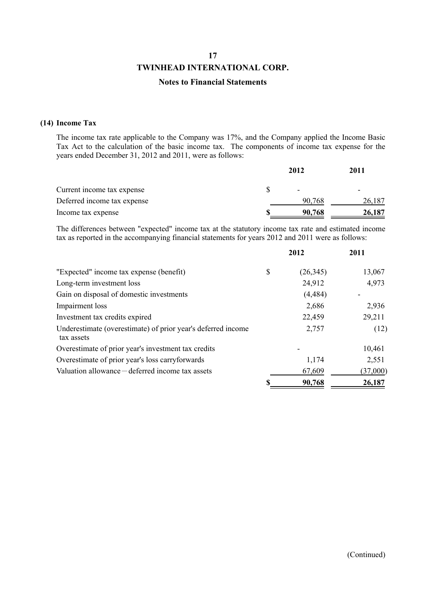### **TWINHEAD INTERNATIONAL CORP.**

#### **Notes to Financial Statements**

#### **(14) Income Tax**

The income tax rate applicable to the Company was 17%, and the Company applied the Income Basic Tax Act to the calculation of the basic income tax. The components of income tax expense for the years ended December 31, 2012 and 2011, were as follows:

|                             | 2012                     | 2011                     |
|-----------------------------|--------------------------|--------------------------|
| Current income tax expense  | $\overline{\phantom{0}}$ | $\overline{\phantom{0}}$ |
| Deferred income tax expense | 90,768                   | 26,187                   |
| Income tax expense          | 90,768                   | 26,187                   |

The differences between "expected" income tax at the statutory income tax rate and estimated income tax as reported in the accompanying financial statements for years 2012 and 2011 were as follows:

|                                                                            | 2012            | 2011     |
|----------------------------------------------------------------------------|-----------------|----------|
| "Expected" income tax expense (benefit)                                    | \$<br>(26, 345) | 13,067   |
| Long-term investment loss                                                  | 24,912          | 4,973    |
| Gain on disposal of domestic investments                                   | (4, 484)        |          |
| Impairment loss                                                            | 2,686           | 2,936    |
| Investment tax credits expired                                             | 22,459          | 29,211   |
| Underestimate (overestimate) of prior year's deferred income<br>tax assets | 2,757           | (12)     |
| Overestimate of prior year's investment tax credits                        |                 | 10,461   |
| Overestimate of prior year's loss carryforwards                            | 1,174           | 2,551    |
| Valuation allowance - deferred income tax assets                           | 67,609          | (37,000) |
|                                                                            | 90,768          | 26,187   |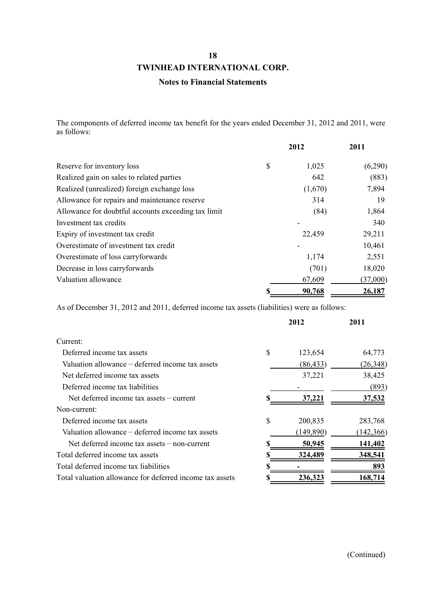### **TWINHEAD INTERNATIONAL CORP.**

#### **Notes to Financial Statements**

The components of deferred income tax benefit for the years ended December 31, 2012 and 2011, were as follows:

|                                                     | 2012        | 2011     |
|-----------------------------------------------------|-------------|----------|
| Reserve for inventory loss                          | \$<br>1,025 | (6,290)  |
| Realized gain on sales to related parties           | 642         | (883)    |
| Realized (unrealized) foreign exchange loss         | (1,670)     | 7,894    |
| Allowance for repairs and maintenance reserve       | 314         | 19       |
| Allowance for doubtful accounts exceeding tax limit | (84)        | 1,864    |
| Investment tax credits                              |             | 340      |
| Expiry of investment tax credit                     | 22,459      | 29,211   |
| Overestimate of investment tax credit               |             | 10,461   |
| Overestimate of loss carryforwards                  | 1,174       | 2,551    |
| Decrease in loss carryforwards                      | (701)       | 18,020   |
| Valuation allowance                                 | 67,609      | (37,000) |
|                                                     | 90,768      | 26,187   |

As of December 31, 2012 and 2011, deferred income tax assets (liabilities) were as follows:

|                                                          | 2012          | 2011       |
|----------------------------------------------------------|---------------|------------|
| Current:                                                 |               |            |
| Deferred income tax assets                               | \$<br>123,654 | 64,773     |
| Valuation allowance – deferred income tax assets         | (86, 433)     | (26,348)   |
| Net deferred income tax assets                           | 37,221        | 38,425     |
| Deferred income tax liabilities                          |               | (893)      |
| Net deferred income tax assets – current                 | 37,221        | 37,532     |
| Non-current:                                             |               |            |
| Deferred income tax assets                               | \$<br>200,835 | 283,768    |
| Valuation allowance – deferred income tax assets         | (149, 890)    | (142, 366) |
| Net deferred income tax assets $-$ non-current           | <u>50,945</u> | 141,402    |
| Total deferred income tax assets                         | 324,489       | 348,541    |
| Total deferred income tax liabilities                    |               | 893        |
| Total valuation allowance for deferred income tax assets | 236,323       | 168,714    |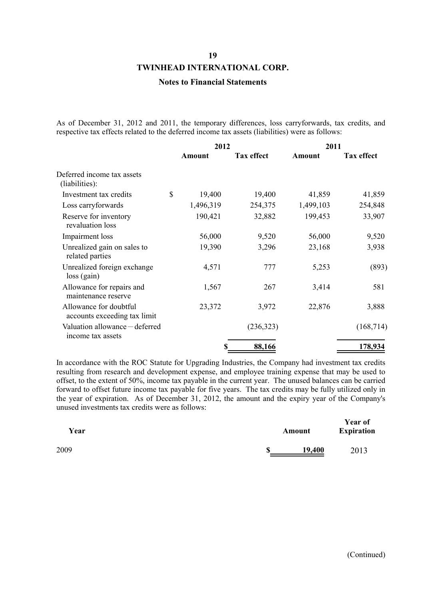#### **TWINHEAD INTERNATIONAL CORP.**

#### **Notes to Financial Statements**

As of December 31, 2012 and 2011, the temporary differences, loss carryforwards, tax credits, and respective tax effects related to the deferred income tax assets (liabilities) were as follows:

|                                                        |    | 2012                        |            | 2011      |                   |  |
|--------------------------------------------------------|----|-----------------------------|------------|-----------|-------------------|--|
|                                                        |    | <b>Tax effect</b><br>Amount |            | Amount    | <b>Tax effect</b> |  |
| Deferred income tax assets<br>(liabilities):           |    |                             |            |           |                   |  |
| Investment tax credits                                 | \$ | 19,400                      | 19,400     | 41,859    | 41,859            |  |
| Loss carryforwards                                     |    | 1,496,319                   | 254,375    | 1,499,103 | 254,848           |  |
| Reserve for inventory<br>revaluation loss              |    | 190,421                     | 32,882     | 199,453   | 33,907            |  |
| Impairment loss                                        |    | 56,000                      | 9,520      | 56,000    | 9,520             |  |
| Unrealized gain on sales to<br>related parties         |    | 19,390                      | 3,296      | 23,168    | 3,938             |  |
| Unrealized foreign exchange<br>$loss$ (gain)           |    | 4,571                       | 777        | 5,253     | (893)             |  |
| Allowance for repairs and<br>maintenance reserve       |    | 1,567                       | 267        | 3,414     | 581               |  |
| Allowance for doubtful<br>accounts exceeding tax limit |    | 23,372                      | 3,972      | 22,876    | 3,888             |  |
| Valuation allowance - deferred<br>income tax assets    |    |                             | (236, 323) |           | (168, 714)        |  |
|                                                        |    | \$                          | 88,166     |           | 178,934           |  |

In accordance with the ROC Statute for Upgrading Industries, the Company had investment tax credits resulting from research and development expense, and employee training expense that may be used to offset, to the extent of 50%, income tax payable in the current year. The unused balances can be carried forward to offset future income tax payable for five years. The tax credits may be fully utilized only in the year of expiration. As of December 31, 2012, the amount and the expiry year of the Company's unused investments tax credits were as follows:

| Year | Amount       | <b>Year of</b><br><b>Expiration</b> |
|------|--------------|-------------------------------------|
| 2009 | \$<br>19,400 | 2013                                |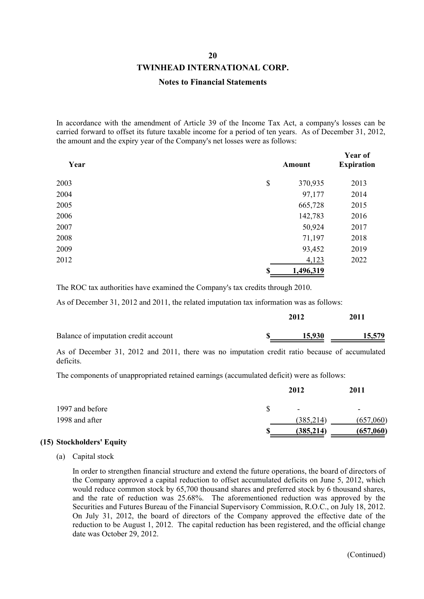#### **TWINHEAD INTERNATIONAL CORP.**

#### **Notes to Financial Statements**

In accordance with the amendment of Article 39 of the Income Tax Act, a company's losses can be carried forward to offset its future taxable income for a period of ten years. As of December 31, 2012, the amount and the expiry year of the Company's net losses were as follows:

| Year | <b>Amount</b>   | Year of<br><b>Expiration</b> |
|------|-----------------|------------------------------|
| 2003 | \$<br>370,935   | 2013                         |
| 2004 | 97,177          | 2014                         |
| 2005 | 665,728         | 2015                         |
| 2006 | 142,783         | 2016                         |
| 2007 | 50,924          | 2017                         |
| 2008 | 71,197          | 2018                         |
| 2009 | 93,452          | 2019                         |
| 2012 | 4,123           | 2022                         |
|      | \$<br>1,496,319 |                              |

The ROC tax authorities have examined the Company's tax credits through 2010.

As of December 31, 2012 and 2011, the related imputation tax information was as follows:

|                                      | 2012   | 2011   |
|--------------------------------------|--------|--------|
| Balance of imputation credit account | 15,930 | 15,579 |

As of December 31, 2012 and 2011, there was no imputation credit ratio because of accumulated deficits.

The components of unappropriated retained earnings (accumulated deficit) were as follows:

|                 |   | 2012                     | 2011                     |
|-----------------|---|--------------------------|--------------------------|
| 1997 and before |   | $\overline{\phantom{a}}$ | $\overline{\phantom{a}}$ |
| 1998 and after  |   | (385, 214)               | (657,060)                |
|                 | S | (385, 214)               | (657,060)                |

#### **(15) Stockholders' Equity**

(a) Capital stock

In order to strengthen financial structure and extend the future operations, the board of directors of the Company approved a capital reduction to offset accumulated deficits on June 5, 2012, which would reduce common stock by 65,700 thousand shares and preferred stock by 6 thousand shares, and the rate of reduction was 25.68%. The aforementioned reduction was approved by the Securities and Futures Bureau of the Financial Supervisory Commission, R.O.C., on July 18, 2012. On July 31, 2012, the board of directors of the Company approved the effective date of the reduction to be August 1, 2012. The capital reduction has been registered, and the official change date was October 29, 2012.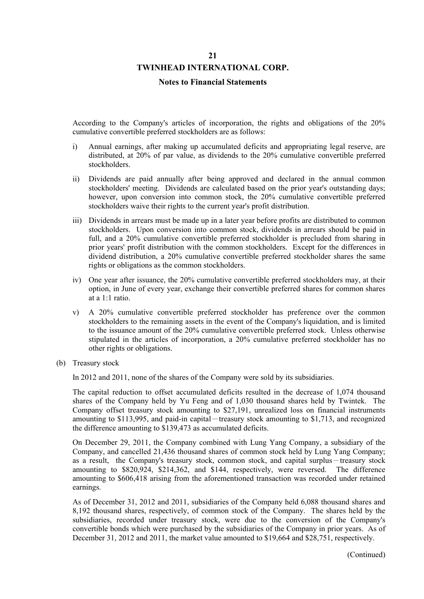#### **TWINHEAD INTERNATIONAL CORP.**

#### **Notes to Financial Statements**

According to the Company's articles of incorporation, the rights and obligations of the 20% cumulative convertible preferred stockholders are as follows:

- i) Annual earnings, after making up accumulated deficits and appropriating legal reserve, are distributed, at 20% of par value, as dividends to the 20% cumulative convertible preferred stockholders.
- ii) Dividends are paid annually after being approved and declared in the annual common stockholders' meeting. Dividends are calculated based on the prior year's outstanding days; however, upon conversion into common stock, the 20% cumulative convertible preferred stockholders waive their rights to the current year's profit distribution.
- iii) Dividends in arrears must be made up in a later year before profits are distributed to common stockholders. Upon conversion into common stock, dividends in arrears should be paid in full, and a 20% cumulative convertible preferred stockholder is precluded from sharing in prior years' profit distribution with the common stockholders. Except for the differences in dividend distribution, a 20% cumulative convertible preferred stockholder shares the same rights or obligations as the common stockholders.
- iv) One year after issuance, the 20% cumulative convertible preferred stockholders may, at their option, in June of every year, exchange their convertible preferred shares for common shares at a 1:1 ratio.
- v) A 20% cumulative convertible preferred stockholder has preference over the common stockholders to the remaining assets in the event of the Company's liquidation, and is limited to the issuance amount of the 20% cumulative convertible preferred stock. Unless otherwise stipulated in the articles of incorporation, a 20% cumulative preferred stockholder has no other rights or obligations.
- (b) Treasury stock

In 2012 and 2011, none of the shares of the Company were sold by its subsidiaries.

The capital reduction to offset accumulated deficits resulted in the decrease of 1,074 thousand shares of the Company held by Yu Feng and of 1,030 thousand shares held by Twintek. The Company offset treasury stock amounting to \$27,191, unrealized loss on financial instruments amounting to \$113,995, and paid-in capital-treasury stock amounting to \$1,713, and recognized the difference amounting to \$139,473 as accumulated deficits.

On December 29, 2011, the Company combined with Lung Yang Company, a subsidiary of the Company, and cancelled 21,436 thousand shares of common stock held by Lung Yang Company; as a result, the Company's treasury stock, common stock, and capital surplus-treasury stock amounting to \$820,924, \$214,362, and \$144, respectively, were reversed. The difference amounting to \$606,418 arising from the aforementioned transaction was recorded under retained earnings.

As of December 31, 2012 and 2011, subsidiaries of the Company held 6,088 thousand shares and 8,192 thousand shares, respectively, of common stock of the Company. The shares held by the subsidiaries, recorded under treasury stock, were due to the conversion of the Company's convertible bonds which were purchased by the subsidiaries of the Company in prior years. As of December 31, 2012 and 2011, the market value amounted to \$19,664 and \$28,751, respectively.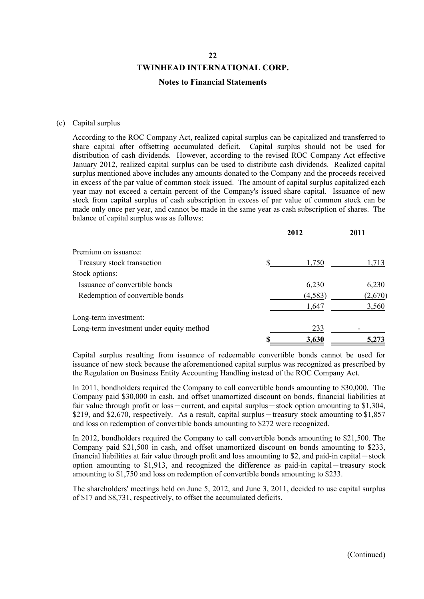#### **Notes to Financial Statements**

#### (c) Capital surplus

According to the ROC Company Act, realized capital surplus can be capitalized and transferred to share capital after offsetting accumulated deficit. Capital surplus should not be used for distribution of cash dividends. However, according to the revised ROC Company Act effective January 2012, realized capital surplus can be used to distribute cash dividends. Realized capital surplus mentioned above includes any amounts donated to the Company and the proceeds received in excess of the par value of common stock issued. The amount of capital surplus capitalized each year may not exceed a certain percent of the Company's issued share capital. Issuance of new stock from capital surplus of cash subscription in excess of par value of common stock can be made only once per year, and cannot be made in the same year as cash subscription of shares. The balance of capital surplus was as follows:

|                                          | 2012     | 2011    |
|------------------------------------------|----------|---------|
| Premium on issuance:                     |          |         |
| Treasury stock transaction               | 1,750    | 1,713   |
| Stock options:                           |          |         |
| Issuance of convertible bonds            | 6,230    | 6,230   |
| Redemption of convertible bonds          | (4, 583) | (2,670) |
|                                          | 1,647    | 3,560   |
| Long-term investment:                    |          |         |
| Long-term investment under equity method | 233      |         |
|                                          | 3,630    | 5,273   |

Capital surplus resulting from issuance of redeemable convertible bonds cannot be used for issuance of new stock because the aforementioned capital surplus was recognized as prescribed by the Regulation on Business Entity Accounting Handling instead of the ROC Company Act.

In 2011, bondholders required the Company to call convertible bonds amounting to \$30,000. The Company paid \$30,000 in cash, and offset unamortized discount on bonds, financial liabilities at fair value through profit or loss - current, and capital surplus - stock option amounting to \$1,304, \$219, and \$2,670, respectively. As a result, capital surplus-treasury stock amounting to \$1,857 and loss on redemption of convertible bonds amounting to \$272 were recognized.

In 2012, bondholders required the Company to call convertible bonds amounting to \$21,500. The Company paid \$21,500 in cash, and offset unamortized discount on bonds amounting to \$233, financial liabilities at fair value through profit and loss amounting to \$2, and paid-in capital  $-$  stock option amounting to \$1,913, and recognized the difference as paid-in capital-treasury stock amounting to \$1,750 and loss on redemption of convertible bonds amounting to \$233.

The shareholders' meetings held on June 5, 2012, and June 3, 2011, decided to use capital surplus of \$17 and \$8,731, respectively, to offset the accumulated deficits.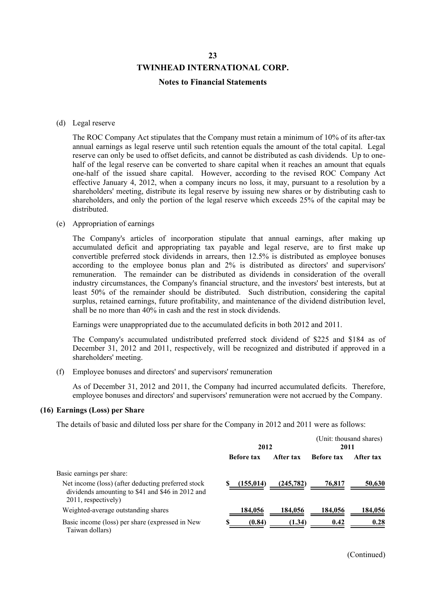#### **Notes to Financial Statements**

#### (d) Legal reserve

The ROC Company Act stipulates that the Company must retain a minimum of 10% of its after-tax annual earnings as legal reserve until such retention equals the amount of the total capital. Legal reserve can only be used to offset deficits, and cannot be distributed as cash dividends. Up to onehalf of the legal reserve can be converted to share capital when it reaches an amount that equals one-half of the issued share capital. However, according to the revised ROC Company Act effective January 4, 2012, when a company incurs no loss, it may, pursuant to a resolution by a shareholders' meeting, distribute its legal reserve by issuing new shares or by distributing cash to shareholders, and only the portion of the legal reserve which exceeds 25% of the capital may be distributed.

#### (e) Appropriation of earnings

The Company's articles of incorporation stipulate that annual earnings, after making up accumulated deficit and appropriating tax payable and legal reserve, are to first make up convertible preferred stock dividends in arrears, then 12.5% is distributed as employee bonuses according to the employee bonus plan and 2% is distributed as directors' and supervisors' remuneration. The remainder can be distributed as dividends in consideration of the overall industry circumstances, the Company's financial structure, and the investors' best interests, but at least 50% of the remainder should be distributed. Such distribution, considering the capital surplus, retained earnings, future profitability, and maintenance of the dividend distribution level, shall be no more than 40% in cash and the rest in stock dividends.

Earnings were unappropriated due to the accumulated deficits in both 2012 and 2011.

The Company's accumulated undistributed preferred stock dividend of \$225 and \$184 as of December 31, 2012 and 2011, respectively, will be recognized and distributed if approved in a shareholders' meeting.

(f) Employee bonuses and directors' and supervisors' remuneration

As of December 31, 2012 and 2011, the Company had incurred accumulated deficits. Therefore, employee bonuses and directors' and supervisors' remuneration were not accrued by the Company.

#### **(16) Earnings (Loss) per Share**

The details of basic and diluted loss per share for the Company in 2012 and 2011 were as follows:

|                                                                                                                               | 2012              |            | 2011              | (Unit: thousand shares) |
|-------------------------------------------------------------------------------------------------------------------------------|-------------------|------------|-------------------|-------------------------|
|                                                                                                                               | <b>Before tax</b> | After tax  | <b>Before tax</b> | After tax               |
| Basic earnings per share:                                                                                                     |                   |            |                   |                         |
| Net income (loss) (after deducting preferred stock<br>dividends amounting to \$41 and \$46 in 2012 and<br>2011, respectively) | (155, 014)        | (245, 782) | 76,817            | 50,630                  |
| Weighted-average outstanding shares                                                                                           | 184,056           | 184,056    | 184,056           | 184,056                 |
| Basic income (loss) per share (expressed in New<br>Taiwan dollars)                                                            | (0.84)            | (1.34)     | 0.42              | 0.28                    |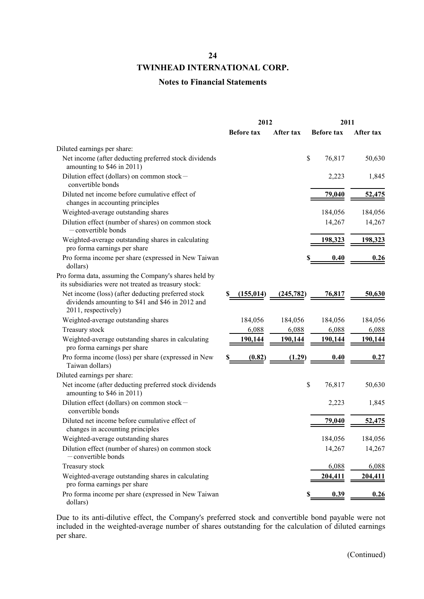### **TWINHEAD INTERNATIONAL CORP.**

### **Notes to Financial Statements**

|                                                                                                                               |   | 2012              |           | 2011              |           |
|-------------------------------------------------------------------------------------------------------------------------------|---|-------------------|-----------|-------------------|-----------|
|                                                                                                                               |   | <b>Before tax</b> | After tax | <b>Before tax</b> | After tax |
| Diluted earnings per share:                                                                                                   |   |                   |           |                   |           |
| Net income (after deducting preferred stock dividends<br>amounting to \$46 in 2011)                                           |   |                   |           | \$<br>76,817      | 50,630    |
| Dilution effect (dollars) on common stock-<br>convertible bonds                                                               |   |                   |           | 2,223             | 1,845     |
| Diluted net income before cumulative effect of<br>changes in accounting principles                                            |   |                   |           | <u>79,040</u>     | 52,475    |
| Weighted-average outstanding shares                                                                                           |   |                   |           | 184,056           | 184,056   |
| Dilution effect (number of shares) on common stock<br>$-$ convertible bonds                                                   |   |                   |           | 14,267            | 14,267    |
| Weighted-average outstanding shares in calculating<br>pro forma earnings per share                                            |   |                   |           | 198,323           | 198,323   |
| Pro forma income per share (expressed in New Taiwan<br>dollars)                                                               |   |                   |           | 0.40              | 0.26      |
| Pro forma data, assuming the Company's shares held by<br>its subsidiaries were not treated as treasury stock:                 |   |                   |           |                   |           |
| Net income (loss) (after deducting preferred stock<br>dividends amounting to \$41 and \$46 in 2012 and<br>2011, respectively) |   | (155, 014)        | (245,782) | 76,817            | 50,630    |
| Weighted-average outstanding shares                                                                                           |   | 184,056           | 184,056   | 184,056           | 184,056   |
| Treasury stock                                                                                                                |   | 6,088             | 6,088     | 6,088             | 6,088     |
| Weighted-average outstanding shares in calculating<br>pro forma earnings per share                                            |   | 190,144           | 190,144   | 190,144           | 190,144   |
| Pro forma income (loss) per share (expressed in New<br>Taiwan dollars)                                                        | S | (0.82)            | (1.29)    | 0.40              | 0.27      |
| Diluted earnings per share:                                                                                                   |   |                   |           |                   |           |
| Net income (after deducting preferred stock dividends<br>amounting to \$46 in 2011)                                           |   |                   |           | \$<br>76,817      | 50,630    |
| Dilution effect (dollars) on common stock $-$<br>convertible bonds                                                            |   |                   |           | 2,223             | 1,845     |
| Diluted net income before cumulative effect of<br>changes in accounting principles                                            |   |                   |           | 79,040            | 52,475    |
| Weighted-average outstanding shares                                                                                           |   |                   |           | 184,056           | 184,056   |
| Dilution effect (number of shares) on common stock<br>- convertible bonds                                                     |   |                   |           | 14,267            | 14,267    |
| Treasury stock                                                                                                                |   |                   |           | 6,088             | 6,088     |
| Weighted-average outstanding shares in calculating<br>pro forma earnings per share                                            |   |                   |           | 204,411           | 204,411   |
| Pro forma income per share (expressed in New Taiwan<br>dollars)                                                               |   |                   |           | 0.39              | 0.26      |

Due to its anti-dilutive effect, the Company's preferred stock and convertible bond payable were not included in the weighted-average number of shares outstanding for the calculation of diluted earnings per share.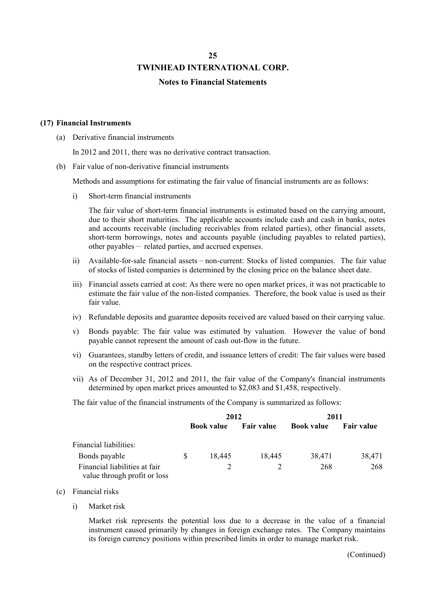#### **Notes to Financial Statements**

#### **(17) Financial Instruments**

(a) Derivative financial instruments

In 2012 and 2011, there was no derivative contract transaction.

(b) Fair value of non-derivative financial instruments

Methods and assumptions for estimating the fair value of financial instruments are as follows:

i) Short-term financial instruments

The fair value of short-term financial instruments is estimated based on the carrying amount, due to their short maturities. The applicable accounts include cash and cash in banks, notes and accounts receivable (including receivables from related parties), other financial assets, short-term borrowings, notes and accounts payable (including payables to related parties), other payables- related parties, and accrued expenses.

- ii) Available-for-sale financial assets-non-current: Stocks of listed companies. The fair value of stocks of listed companies is determined by the closing price on the balance sheet date.
- iii) Financial assets carried at cost: As there were no open market prices, it was not practicable to estimate the fair value of the non-listed companies. Therefore, the book value is used as their fair value.
- iv) Refundable deposits and guarantee deposits received are valued based on their carrying value.
- v) Bonds payable: The fair value was estimated by valuation. However the value of bond payable cannot represent the amount of cash out-flow in the future.
- vi) Guarantees, standby letters of credit, and issuance letters of credit: The fair values were based on the respective contract prices.
- vii) As of December 31, 2012 and 2011, the fair value of the Company's financial instruments determined by open market prices amounted to \$2,083 and \$1,458, respectively.

The fair value of the financial instruments of the Company is summarized as follows:

|                                                               |                                        | 2012   |                   | 2011              |        |  |
|---------------------------------------------------------------|----------------------------------------|--------|-------------------|-------------------|--------|--|
|                                                               | <b>Fair value</b><br><b>Book value</b> |        | <b>Book value</b> | <b>Fair value</b> |        |  |
| Financial liabilities:                                        |                                        |        |                   |                   |        |  |
| Bonds payable                                                 | S                                      | 18.445 | 18,445            | 38,471            | 38,471 |  |
| Financial liabilities at fair<br>value through profit or loss |                                        |        |                   | 268               | 268    |  |

- (c) Financial risks
	- i) Market risk

Market risk represents the potential loss due to a decrease in the value of a financial instrument caused primarily by changes in foreign exchange rates. The Company maintains its foreign currency positions within prescribed limits in order to manage market risk.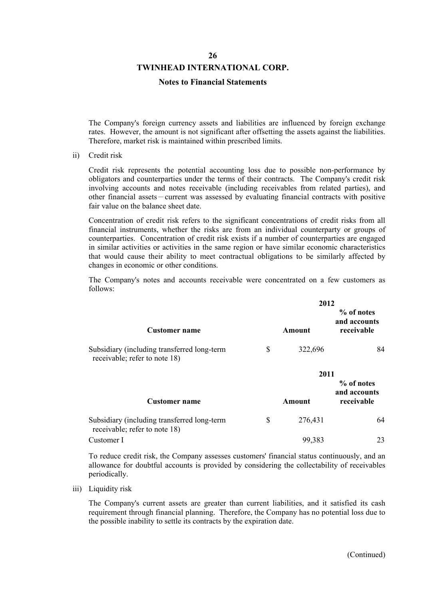#### **TWINHEAD INTERNATIONAL CORP.**

#### **Notes to Financial Statements**

The Company's foreign currency assets and liabilities are influenced by foreign exchange rates. However, the amount is not significant after offsetting the assets against the liabilities. Therefore, market risk is maintained within prescribed limits.

ii) Credit risk

Credit risk represents the potential accounting loss due to possible non-performance by obligators and counterparties under the terms of their contracts. The Company's credit risk involving accounts and notes receivable (including receivables from related parties), and other financial assets-current was assessed by evaluating financial contracts with positive fair value on the balance sheet date.

Concentration of credit risk refers to the significant concentrations of credit risks from all financial instruments, whether the risks are from an individual counterparty or groups of counterparties. Concentration of credit risk exists if a number of counterparties are engaged in similar activities or activities in the same region or have similar economic characteristics that would cause their ability to meet contractual obligations to be similarly affected by changes in economic or other conditions.

The Company's notes and accounts receivable were concentrated on a few customers as follows:

|                                                                              |     | 2012    |                                          |
|------------------------------------------------------------------------------|-----|---------|------------------------------------------|
| Customer name                                                                |     | Amount  | % of notes<br>and accounts<br>receivable |
| Subsidiary (including transferred long-term<br>receivable; refer to note 18) | \$. | 322,696 | 84                                       |
|                                                                              |     | 2011    |                                          |
| <b>Customer name</b>                                                         |     | Amount  | % of notes<br>and accounts<br>receivable |
| Subsidiary (including transferred long-term<br>receivable; refer to note 18) | \$  | 276,431 | 64                                       |
| Customer I                                                                   |     | 99,383  | 23                                       |

To reduce credit risk, the Company assesses customers' financial status continuously, and an allowance for doubtful accounts is provided by considering the collectability of receivables periodically.

iii) Liquidity risk

The Company's current assets are greater than current liabilities, and it satisfied its cash requirement through financial planning. Therefore, the Company has no potential loss due to the possible inability to settle its contracts by the expiration date.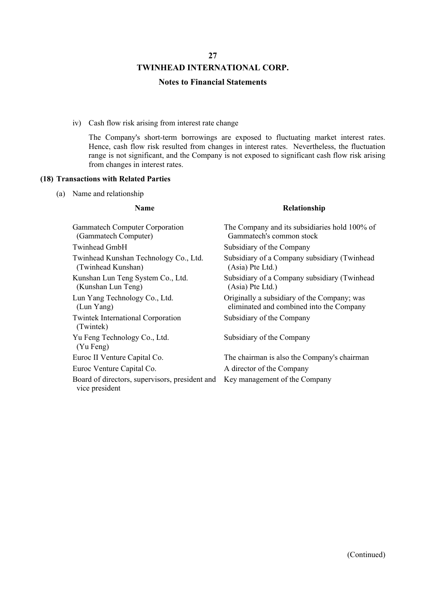### **TWINHEAD INTERNATIONAL CORP.**

#### **Notes to Financial Statements**

iv) Cash flow risk arising from interest rate change

The Company's short-term borrowings are exposed to fluctuating market interest rates. Hence, cash flow risk resulted from changes in interest rates. Nevertheless, the fluctuation range is not significant, and the Company is not exposed to significant cash flow risk arising from changes in interest rates.

#### **(18) Transactions with Related Parties**

(a) Name and relationship

#### **Name Relationship**

| <b>Gammatech Computer Corporation</b><br>(Gammatech Computer)    | The Company and its subsidiaries hold 100% of<br>Gammatech's common stock               |
|------------------------------------------------------------------|-----------------------------------------------------------------------------------------|
| Twinhead GmbH                                                    | Subsidiary of the Company                                                               |
| Twinhead Kunshan Technology Co., Ltd.<br>(Twinhead Kunshan)      | Subsidiary of a Company subsidiary (Twinhead<br>(Asia) Pte Ltd.)                        |
| Kunshan Lun Teng System Co., Ltd.<br>(Kunshan Lun Teng)          | Subsidiary of a Company subsidiary (Twinhead<br>(Asia) Pte Ltd.)                        |
| Lun Yang Technology Co., Ltd.<br>(Lun Yang)                      | Originally a subsidiary of the Company; was<br>eliminated and combined into the Company |
| <b>Twintek International Corporation</b><br>(Twintek)            | Subsidiary of the Company                                                               |
| Yu Feng Technology Co., Ltd.<br>(Yu Feng)                        | Subsidiary of the Company                                                               |
| Euroc II Venture Capital Co.                                     | The chairman is also the Company's chairman                                             |
| Euroc Venture Capital Co.                                        | A director of the Company                                                               |
| Board of directors, supervisors, president and<br>vice president | Key management of the Company                                                           |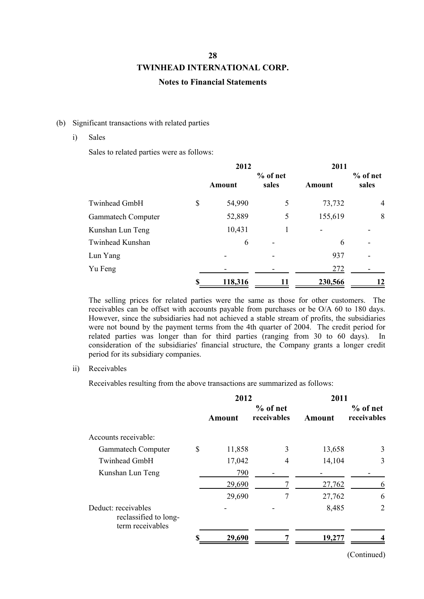### **Notes to Financial Statements**

#### (b) Significant transactions with related parties

#### i) Sales

Sales to related parties were as follows:

|                           | 2012         |          | 2011    |          |  |
|---------------------------|--------------|----------|---------|----------|--|
|                           |              | % of net |         | % of net |  |
|                           | Amount       | sales    | Amount  | sales    |  |
| Twinhead GmbH             | \$<br>54,990 | 5        | 73,732  | 4        |  |
| <b>Gammatech Computer</b> | 52,889       | 5        | 155,619 | 8        |  |
| Kunshan Lun Teng          | 10,431       |          |         |          |  |
| Twinhead Kunshan          | 6            |          | 6       |          |  |
| Lun Yang                  |              |          | 937     |          |  |
| Yu Feng                   |              |          | 272     |          |  |
|                           | 118,316      | 11       | 230,566 | 12       |  |

The selling prices for related parties were the same as those for other customers. The receivables can be offset with accounts payable from purchases or be O/A 60 to 180 days. However, since the subsidiaries had not achieved a stable stream of profits, the subsidiaries were not bound by the payment terms from the 4th quarter of 2004. The credit period for related parties was longer than for third parties (ranging from 30 to 60 days). In consideration of the subsidiaries' financial structure, the Company grants a longer credit period for its subsidiary companies.

#### ii) Receivables

Receivables resulting from the above transactions are summarized as follows:

|                                                                  | 2012          |                           | 2011   |                           |  |
|------------------------------------------------------------------|---------------|---------------------------|--------|---------------------------|--|
|                                                                  | <b>Amount</b> | $%$ of net<br>receivables | Amount | $%$ of net<br>receivables |  |
| Accounts receivable:                                             |               |                           |        |                           |  |
| <b>Gammatech Computer</b>                                        | \$<br>11,858  | 3                         | 13,658 | 3                         |  |
| Twinhead GmbH                                                    | 17,042        | 4                         | 14,104 | 3                         |  |
| Kunshan Lun Teng                                                 | 790           |                           |        |                           |  |
|                                                                  | 29,690        |                           | 27,762 | 6                         |  |
|                                                                  | 29,690        | 7                         | 27,762 | 6                         |  |
| Deduct: receivables<br>reclassified to long-<br>term receivables |               |                           | 8,485  | 2                         |  |
|                                                                  | 29,690        |                           | 19,277 |                           |  |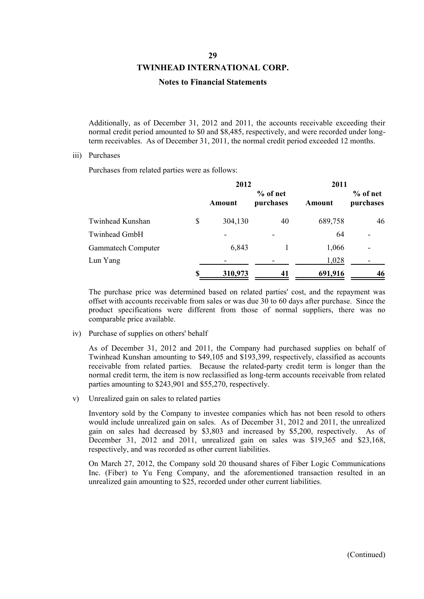#### **TWINHEAD INTERNATIONAL CORP.**

#### **Notes to Financial Statements**

Additionally, as of December 31, 2012 and 2011, the accounts receivable exceeding their normal credit period amounted to \$0 and \$8,485, respectively, and were recorded under longterm receivables. As of December 31, 2011, the normal credit period exceeded 12 months.

#### iii) Purchases

Purchases from related parties were as follows:

|                           | 2012          |                       | 2011    |                          |  |
|---------------------------|---------------|-----------------------|---------|--------------------------|--|
|                           | Amount        | % of net<br>purchases | Amount  | $%$ of net<br>purchases  |  |
| Twinhead Kunshan          | \$<br>304,130 | 40                    | 689,758 | 46                       |  |
| Twinhead GmbH             |               | -                     | 64      | $\overline{\phantom{0}}$ |  |
| <b>Gammatech Computer</b> | 6,843         |                       | 1,066   | -                        |  |
| Lun Yang                  |               |                       | 1,028   |                          |  |
|                           | 310,973       | 41                    | 691,916 | 46                       |  |

The purchase price was determined based on related parties' cost, and the repayment was offset with accounts receivable from sales or was due 30 to 60 days after purchase. Since the product specifications were different from those of normal suppliers, there was no comparable price available.

#### iv) Purchase of supplies on others' behalf

As of December 31, 2012 and 2011, the Company had purchased supplies on behalf of Twinhead Kunshan amounting to \$49,105 and \$193,399, respectively, classified as accounts receivable from related parties. Because the related-party credit term is longer than the normal credit term, the item is now reclassified as long-term accounts receivable from related parties amounting to \$243,901 and \$55,270, respectively.

v) Unrealized gain on sales to related parties

Inventory sold by the Company to investee companies which has not been resold to others would include unrealized gain on sales. As of December 31, 2012 and 2011, the unrealized gain on sales had decreased by \$3,803 and increased by \$5,200, respectively. As of December 31, 2012 and 2011, unrealized gain on sales was \$19,365 and \$23,168, respectively, and was recorded as other current liabilities.

On March 27, 2012, the Company sold 20 thousand shares of Fiber Logic Communications Inc. (Fiber) to Yu Feng Company, and the aforementioned transaction resulted in an unrealized gain amounting to \$25, recorded under other current liabilities.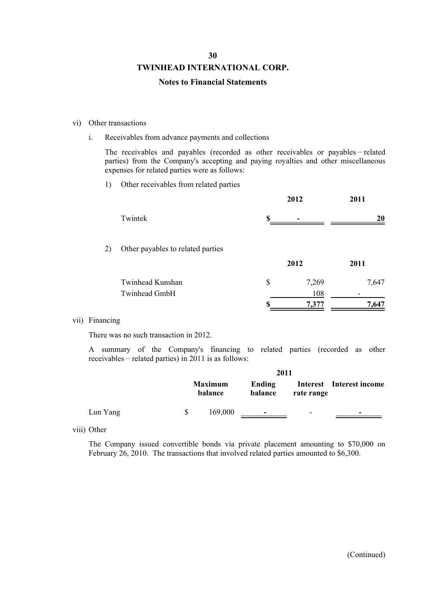### **TWINHEAD INTERNATIONAL CORP.**

#### **Notes to Financial Statements**

#### vi) Other transactions

i. Receivables from advance payments and collections

The receivables and payables (recorded as other receivables or payables-related parties) from the Company's accepting and paying royalties and other miscellaneous expenses for related parties were as follows:

1) Other receivables from related parties

|    |                                   |    | 2012  | 2011  |
|----|-----------------------------------|----|-------|-------|
|    | Twintek                           | Я  |       | 20    |
| 2) | Other payables to related parties |    |       |       |
|    |                                   |    | 2012  | 2011  |
|    | Twinhead Kunshan                  | \$ | 7,269 | 7,647 |
|    | Twinhead GmbH                     |    | 108   |       |
|    |                                   |    | 7,377 | 7.647 |

#### vii) Financing

There was no such transaction in 2012.

A summary of the Company's financing to related parties (recorded as other receivables-related parties) in 2011 is as follows:

|          | 2011 |                           |                   |            |                          |  |  |
|----------|------|---------------------------|-------------------|------------|--------------------------|--|--|
|          |      | <b>Maximum</b><br>balance | Ending<br>balance | rate range | Interest Interest income |  |  |
| Lun Yang |      | 169,000                   | $\sim$            | -          | $\overline{\phantom{a}}$ |  |  |

viii) Other

The Company issued convertible bonds via private placement amounting to \$70,000 on February 26, 2010. The transactions that involved related parties amounted to \$6,300.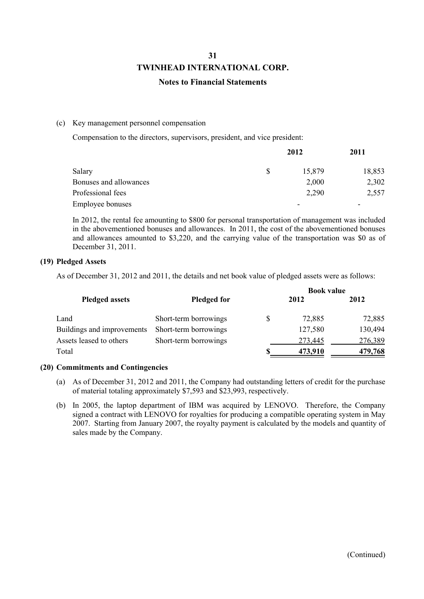### **Notes to Financial Statements**

#### (c) Key management personnel compensation

Compensation to the directors, supervisors, president, and vice president:

|                         |    | 2012   |                          |
|-------------------------|----|--------|--------------------------|
| Salary                  | -S | 15,879 | 18,853                   |
| Bonuses and allowances  |    | 2,000  | 2,302                    |
| Professional fees       |    | 2,290  | 2,557                    |
| <b>Employee bonuses</b> |    |        | $\overline{\phantom{0}}$ |

In 2012, the rental fee amounting to \$800 for personal transportation of management was included in the abovementioned bonuses and allowances. In 2011, the cost of the abovementioned bonuses and allowances amounted to \$3,220, and the carrying value of the transportation was \$0 as of December 31, 2011.

### **(19) Pledged Assets**

As of December 31, 2012 and 2011, the details and net book value of pledged assets were as follows:

|                            |                       |   | <b>Book value</b> |         |  |  |
|----------------------------|-----------------------|---|-------------------|---------|--|--|
| <b>Pledged assets</b>      | <b>Pledged for</b>    |   | 2012              | 2012    |  |  |
| Land                       | Short-term borrowings | S | 72,885            | 72,885  |  |  |
| Buildings and improvements | Short-term borrowings |   | 127,580           | 130,494 |  |  |
| Assets leased to others    | Short-term borrowings |   | 273,445           | 276,389 |  |  |
| Total                      |                       |   | 473,910           | 479,768 |  |  |

### **(20) Commitments and Contingencies**

- (a) As of December 31, 2012 and 2011, the Company had outstanding letters of credit for the purchase of material totaling approximately \$7,593 and \$23,993, respectively.
- (b) In 2005, the laptop department of IBM was acquired by LENOVO. Therefore, the Company signed a contract with LENOVO for royalties for producing a compatible operating system in May 2007. Starting from January 2007, the royalty payment is calculated by the models and quantity of sales made by the Company.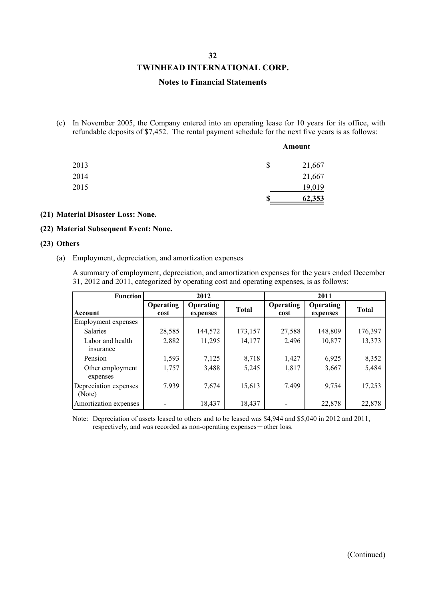#### **TWINHEAD INTERNATIONAL CORP.**

#### **Notes to Financial Statements**

(c) In November 2005, the Company entered into an operating lease for 10 years for its office, with refundable deposits of \$7,452. The rental payment schedule for the next five years is as follows:

|      |    | Amount |
|------|----|--------|
| 2013 | \$ | 21,667 |
| 2014 |    | 21,667 |
| 2015 |    | 19,019 |
|      | S  | 62,353 |

#### **(21) Material Disaster Loss: None.**

#### **(22) Material Subsequent Event: None.**

#### **(23) Others**

(a) Employment, depreciation, and amortization expenses

A summary of employment, depreciation, and amortization expenses for the years ended December 31, 2012 and 2011, categorized by operating cost and operating expenses, is as follows:

| <b>Function</b>                 |                          | 2012                         |              |                          | 2011                         |              |
|---------------------------------|--------------------------|------------------------------|--------------|--------------------------|------------------------------|--------------|
| Account                         | <b>Operating</b><br>cost | <b>Operating</b><br>expenses | <b>Total</b> | <b>Operating</b><br>cost | <b>Operating</b><br>expenses | <b>Total</b> |
| Employment expenses             |                          |                              |              |                          |                              |              |
| <b>Salaries</b>                 | 28,585                   | 144,572                      | 173,157      | 27,588                   | 148,809                      | 176,397      |
| Labor and health<br>insurance   | 2,882                    | 11,295                       | 14,177       | 2,496                    | 10,877                       | 13,373       |
| Pension                         | 1,593                    | 7,125                        | 8,718        | 1,427                    | 6,925                        | 8,352        |
| Other employment<br>expenses    | 1,757                    | 3,488                        | 5,245        | 1,817                    | 3,667                        | 5,484        |
| Depreciation expenses<br>(Note) | 7,939                    | 7,674                        | 15,613       | 7,499                    | 9,754                        | 17,253       |
| Amortization expenses           |                          | 18,437                       | 18,437       |                          | 22,878                       | 22,878       |

Note: Depreciation of assets leased to others and to be leased was \$4,944 and \$5,040 in 2012 and 2011, respectively, and was recorded as non-operating expenses - other loss.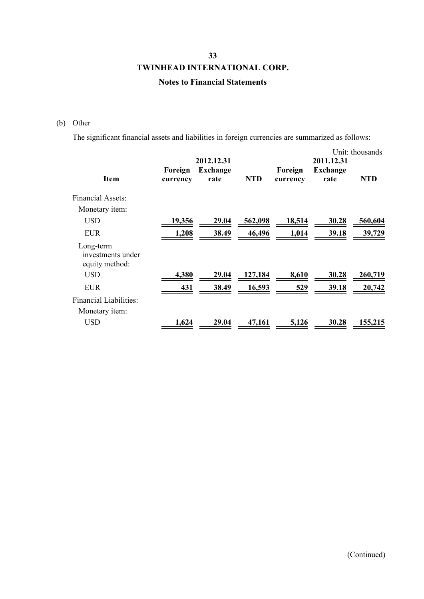### **Notes to Financial Statements**

### (b) Other

The significant financial assets and liabilities in foreign currencies are summarized as follows:

| <b>Item</b>                                      | Foreign<br>currency | 2012.12.31<br><b>Exchange</b><br>rate | <b>NTD</b> | Foreign<br>currency | 2011.12.31<br><b>Exchange</b><br>rate | Unit: thousands<br><b>NTD</b> |
|--------------------------------------------------|---------------------|---------------------------------------|------------|---------------------|---------------------------------------|-------------------------------|
| <b>Financial Assets:</b>                         |                     |                                       |            |                     |                                       |                               |
| Monetary <i>item</i> :                           |                     |                                       |            |                     |                                       |                               |
| <b>USD</b>                                       | 19,356              | 29.04                                 | 562,098    | 18,514              | 30.28                                 | 560,604                       |
| <b>EUR</b>                                       | 1,208               | 38.49                                 | 46,496     | 1,014               | <u>39.18</u>                          | 39,729                        |
| Long-term<br>investments under<br>equity method: |                     |                                       |            |                     |                                       |                               |
| USD                                              | 4,380               | 29.04                                 | 127,184    | 8,610               | 30.28                                 | 260,719                       |
| <b>EUR</b>                                       | 431                 | 38.49                                 | 16,593     | 529                 | 39.18                                 | 20,742                        |
| Financial Liabilities:                           |                     |                                       |            |                     |                                       |                               |
| Monetary <i>item</i> :                           |                     |                                       |            |                     |                                       |                               |
| <b>USD</b>                                       | 1,624               | 29.04                                 | 47,161     | 5,126               | 30.28                                 | 155,215                       |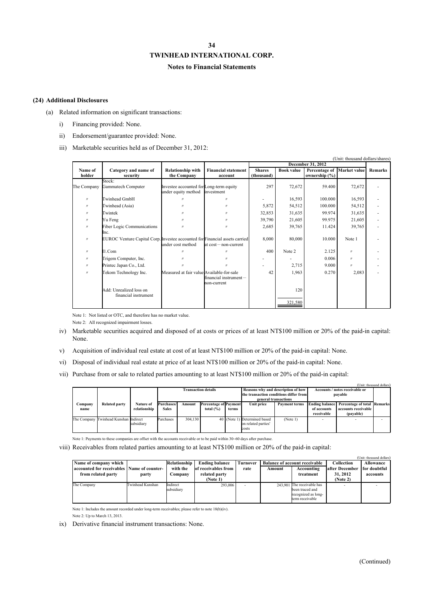### **Notes to Financial Statements**

#### **(24) Additional Disclosures**

- (a) Related information on significant transactions:
	- i) Financing provided: None.
	- ii) Endorsement/guarantee provided: None.
	- iii) Marketable securities held as of December 31, 2012:

|                |                                                                             |                                           |                             |               |                   |                   | (Unit: thousand dollars/shares) |                |
|----------------|-----------------------------------------------------------------------------|-------------------------------------------|-----------------------------|---------------|-------------------|-------------------|---------------------------------|----------------|
|                |                                                                             |                                           |                             |               |                   | December 31, 2012 |                                 |                |
| Name of        | Category and name of                                                        | <b>Relationship with</b>                  | <b>Financial statement</b>  | <b>Shares</b> | <b>Book value</b> | Percentage of     | Market value                    | <b>Remarks</b> |
| holder         | security                                                                    | the Company                               | account                     | (thousand)    |                   | ownership $(\% )$ |                                 |                |
|                | Stock:                                                                      |                                           |                             |               |                   |                   |                                 |                |
| The Company    | Gammatech Computer                                                          | Investee accounted for Long-term equity   |                             | 297           | 72,672            | 59.400            | 72,672                          |                |
|                |                                                                             | under equity method                       | investment                  |               |                   |                   |                                 |                |
| $\prime\prime$ | Twinhead GmbH                                                               |                                           | $^{\prime\prime}$           |               | 16,593            | 100.000           | 16,593                          |                |
| $\prime\prime$ | Twinhead (Asia)                                                             |                                           | $^{\prime\prime}$           | 5,872         | 54,512            | 100.000           | 54,512                          |                |
| $\prime\prime$ | Twintek                                                                     |                                           | $^{\prime\prime}$           | 32,853        | 31,635            | 99.974            | 31,635                          |                |
| $\prime\prime$ | Yu Feng                                                                     |                                           | $^{\prime\prime}$           | 39,790        | 21,605            | 99.975            | 21,605                          |                |
| $\prime\prime$ | <b>Fiber Logic Communications</b>                                           | $\prime$                                  | $\prime\prime$              | 2,685         | 39,765            | 11.424            | 39,765                          |                |
|                | Inc.                                                                        |                                           |                             |               |                   |                   |                                 |                |
| $\prime\prime$ | EUROC Venture Capital Corp. Investee accounted for Financial assets carried |                                           |                             | 8,000         | 80,000            | 10.000            | Note 1                          |                |
|                |                                                                             | under cost method                         | $at cost$ non-current       |               |                   |                   |                                 |                |
| $\prime\prime$ | I1.Com                                                                      |                                           | $^{\prime\prime}$           | 400           | Note 2            | 2.125             | $\prime$                        |                |
| $\prime\prime$ | Trigem Computer, Inc.                                                       |                                           | $^{\prime\prime}$           |               |                   | 0.006             | $\prime$                        |                |
| $\prime\prime$ | Printec Japan Co., Ltd.                                                     | $^{\prime\prime}$                         | $\prime$                    |               | 2,715             | 9.000             | $\prime$                        |                |
| $\prime\prime$ | Tekom Technology Inc.                                                       | Measured at fair value Available-for-sale |                             | 42            | 1,963             | 0.270             | 2,083                           |                |
|                |                                                                             |                                           | $f$ inancial instrument $-$ |               |                   |                   |                                 |                |
|                |                                                                             |                                           | non-current                 |               |                   |                   |                                 |                |
|                | Add: Unrealized loss on                                                     |                                           |                             |               | 120               |                   |                                 |                |
|                | financial instrument                                                        |                                           |                             |               |                   |                   |                                 |                |
|                |                                                                             |                                           |                             |               | 321,580           |                   |                                 |                |
|                |                                                                             |                                           |                             |               |                   |                   |                                 |                |

Note 1: Not listed or OTC, and therefore has no market value.

- Note 2: All recognized impairment losses.
- iv) Marketable securities acquired and disposed of at costs or prices of at least NT\$100 million or 20% of the paid-in capital: None.
- v) Acquisition of individual real estate at cost of at least NT\$100 million or 20% of the paid-in capital: None.
- vi) Disposal of individual real estate at price of at least NT\$100 million or 20% of the paid-in capital: None.
- vii) Purchase from or sale to related parties amounting to at least NT\$100 million or 20% of the paid-in capital:

|                        |                                       |                                  |                            |         |                                                                                                      |       |                                                              |                      |                                                    |                                                                        | (Unit: thousand dollars) |
|------------------------|---------------------------------------|----------------------------------|----------------------------|---------|------------------------------------------------------------------------------------------------------|-------|--------------------------------------------------------------|----------------------|----------------------------------------------------|------------------------------------------------------------------------|--------------------------|
|                        |                                       |                                  | <b>Transaction details</b> |         | Reasons why and description of how<br>the transaction conditions differ from<br>general transactions |       | Accounts / notes receivable or<br>payable                    |                      |                                                    |                                                                        |                          |
| <b>Company</b><br>name | <b>Related party</b>                  | <b>Nature of</b><br>relationship | Purchases/<br><b>Sales</b> | Amount  | <b>Percentage of Payment</b><br>total $(\% )$                                                        | terms | Unit price                                                   | <b>Payment terms</b> | <b>Ending balance</b><br>of accounts<br>receivable | <b>Percentage of total Remarks</b><br>accounts receivable<br>(payable) |                          |
|                        | The Company Twinhead Kunshan Indirect | subsidiary                       | Purchases                  | 304,130 |                                                                                                      |       | 40 (Note 1) Determined based<br>on related parties'<br>costs | (Note 1)             |                                                    |                                                                        |                          |

Note 1: Payments to these companies are offset with the accounts receivable or to be paid within 30~60 days after purchase.

viii) Receivables from related parties amounting to at least NT\$100 million or 20% of the paid-in capital:

|                                              |                  |              |                       |                 |        |                                      |                                | (Unit: thousand dollars) |
|----------------------------------------------|------------------|--------------|-----------------------|-----------------|--------|--------------------------------------|--------------------------------|--------------------------|
| Name of company which                        |                  | Relationship | <b>Ending balance</b> | <b>Turnover</b> |        | <b>Balance of account receivable</b> | Collection                     | <b>Allowance</b>         |
| accounted for receivables   Name of counter- |                  | with the     | of receivables from   | rate            | Amount | Accounting                           | lafter December I for doubtful |                          |
| from related party                           | party            | Company      | related party         |                 |        | treatment                            | 31, 2012                       | accounts                 |
|                                              |                  |              | (Note 1)              |                 |        |                                      | (Note 2)                       |                          |
| The Company                                  | Twinhead Kunshan | Indirect     | 293,006               |                 |        | 243,901 The receivable has           |                                |                          |
|                                              |                  | subsidiary   |                       |                 |        | been traced and                      |                                |                          |
|                                              |                  |              |                       |                 |        | recognized as long-                  |                                |                          |
|                                              |                  |              |                       |                 |        | term receivable                      |                                |                          |

Note 1: Includes the amount recorded under long-term receivables; please refer to note 18(b)(iv). Note 2: Up to March 13, 2013.

ix) Derivative financial instrument transactions: None.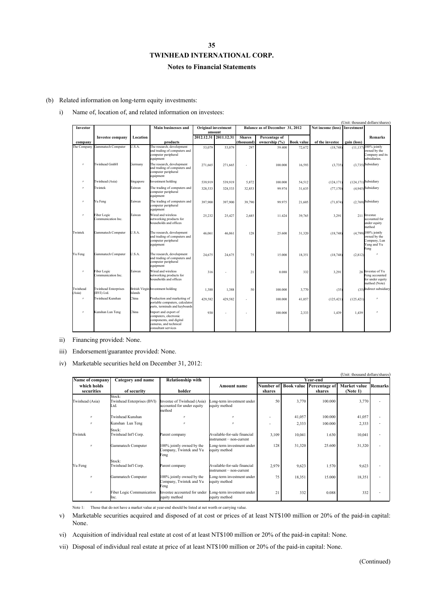### **Notes to Financial Statements**

(b) Related information on long-term equity investments:

i) Name of, location of, and related information on investees:

|                    | (Unit: thousand dollars/shares)           |           |                                                                                                                           |                            |                       |                                 |               |                   |                   |             |                                                                                          |
|--------------------|-------------------------------------------|-----------|---------------------------------------------------------------------------------------------------------------------------|----------------------------|-----------------------|---------------------------------|---------------|-------------------|-------------------|-------------|------------------------------------------------------------------------------------------|
| Investor           |                                           |           | <b>Main businesses and</b>                                                                                                | <b>Original investment</b> |                       | Balance as of December 31, 2012 |               |                   | Net income (loss) | Investment  |                                                                                          |
|                    |                                           |           |                                                                                                                           |                            | amount                |                                 |               |                   |                   |             |                                                                                          |
|                    | <b>Investee company</b>                   | Location  |                                                                                                                           |                            | 2012.12.31 2011.12.31 | <b>Shares</b>                   | Percentage of |                   |                   |             | <b>Remarks</b>                                                                           |
| company            |                                           |           | products                                                                                                                  |                            |                       | (thousand)                      | ownership (%) | <b>Book value</b> | of the investee   | gain (loss) |                                                                                          |
| The Company        | Gammatech Computer                        | U.S.A.    | The research, development<br>and trading of computers and<br>computer peripheral<br>equipment                             | 53,079                     | 53.079                | 297                             | 59.400        | 72,672            | (18, 748)         | (11.137)    | $100\%$ jointly<br>owned by the<br>Company and its<br>subsidiaries.                      |
| $\prime$           | <b>Twinhead GmbH</b>                      | Germany   | The research, development<br>and trading of computers and<br>computer peripheral<br>equipment                             | 271,665                    | 271,665               |                                 | 100.000       | 16,593            | (3,735)           |             | $(3,735)$ Subsidiary                                                                     |
| $^{\prime\prime}$  | Twinhead (Asia)                           | Singapore | Investment holding                                                                                                        | 539,919                    | 539,919               | 5,872                           | 100.000       | 54,512            | (124, 171)        |             | $(124, 171)$ Subsidiary                                                                  |
| $\prime$           | Twintek                                   | Taiwan    | The trading of computers and<br>computer peripheral<br>equipment                                                          | 328,533                    | 328,533               | 32,853                          | 99.974        | 31,635            | (77, 170)         |             | $(4,945)$ Subsidiary                                                                     |
| $^{\prime\prime}$  | Yu Feng                                   | Taiwan    | The trading of computers and<br>computer peripheral<br>equipment                                                          | 397,900                    | 397,900               | 39,790                          | 99.975        | 21,605            | (71, 874)         |             | $(2,769)$ Subsidiary                                                                     |
| $\prime\prime$     | Fiber Logic<br>Communication Inc.         | Taiwan    | Wired and wireless<br>networking products for<br>households and offices                                                   | 25,232                     | 25,427                | 2,685                           | 11.424        | 39,765            | 3,291             | 211         | Investee<br>accounted for<br>under equity<br>method                                      |
| Twintek            | Gammatech Computer                        | U.S.A.    | The research, development<br>and trading of computers and<br>computer peripheral<br>equipment                             | 46,061                     | 46,061                | 128                             | 25.600        | 31,320            | (18, 748)         |             | $(4,799)$ <sup>100%</sup> jointly<br>owned by the<br>Company, Lun<br>Yang and Yu<br>Feng |
| Yu Feng            | Gammatech Computer                        | U.S.A.    | The research, development<br>and trading of computers and<br>computer peripheral<br>equipment                             | 24,675                     | 24,675                | 75                              | 15.000        | 18,351            | (18, 748)         | (2,812)     |                                                                                          |
| $^{\prime\prime}$  | Fiber Logic<br>Communication Inc.         | Taiwan    | Wired and wireless<br>networking products for<br>households and offices                                                   | 316                        |                       | 21                              | 0.088         | 332               | 3,291             |             | 28 Investee of Yu<br>Feng accounted<br>for under equity<br>method (Note)                 |
| Twinhead<br>(Asia) | <b>Twinhead Enterprises</b><br>(BVI) Ltd. | Islands   | British Virgin Investment holding                                                                                         | 1,388                      | 1,388                 | 50                              | 100.000       | 3,770             | (35)              |             | (35) Indirect subsidiary                                                                 |
| $^{\prime\prime}$  | Twinhead Kunshan                          | China     | Production and marketing of<br>portable computers, calculator<br>parts, terminals and keyboards                           | 429,582                    | 429,582               |                                 | 100.000       | 41,057            | (125, 421)        | (125, 421)  |                                                                                          |
| $^{\prime\prime}$  | Kunshan Lun Teng                          | China     | Import and export of<br>computers, electronic<br>components, and digital<br>cameras, and technical<br>consultant services | 930                        |                       |                                 | 100.000       | 2,333             | 1,439             | 1,439       |                                                                                          |

ii) Financing provided: None.

iii) Endorsement/guarantee provided: None.

iv) Marketable securities held on December 31, 2012:

|                           |                                              |                                                                     |                                                            |                     |        |                                           | (Unit: thousand dollars/shares) |         |
|---------------------------|----------------------------------------------|---------------------------------------------------------------------|------------------------------------------------------------|---------------------|--------|-------------------------------------------|---------------------------------|---------|
| Name of company           | Category and name                            | <b>Relationship with</b>                                            |                                                            |                     |        | Year-end                                  |                                 |         |
| which holds<br>securities | of security                                  | holder                                                              | <b>Amount name</b>                                         | Number of<br>shares |        | <b>Book value Percentage of</b><br>shares | Market value<br>(Note 1)        | Remarks |
| Twinhead (Asia)           | Stock:<br>Twinhead Enterprises (BVI)<br>Ltd. | Investee of Twinhead (Asia)<br>accounted for under equity<br>method | ong-term investment under<br>equity method                 | 50                  | 3,770  | 100.000                                   | 3,770                           |         |
| $^{\prime\prime}$         | Twinhead Kunshan                             |                                                                     |                                                            | ٠                   | 41,057 | 100.000                                   | 41,057                          |         |
| $^{\prime\prime}$         | Kunshan Lun Teng                             |                                                                     |                                                            |                     | 2,333  | 100.000                                   | 2,333                           |         |
| Twintek                   | Stock:<br>Twinhead Int'l Corp.               | Parent company                                                      | Available-for-sale financial<br>$instrument - non-current$ | 3,109               | 10,041 | 1.630                                     | 10,041                          |         |
| $^{\prime\prime}$         | Gammatech Computer                           | 100% jointly owned by the<br>Company, Twintek and Yu<br>Feng        | Long-term investment under<br>equity method                | 128                 | 31,320 | 25.600                                    | 31,320                          |         |
| Yu Feng                   | Stock:<br>Twinhead Int'l Corp.               | Parent company                                                      | Available-for-sale financial<br>$instrument - non-current$ | 2,979               | 9,623  | 1.570                                     | 9,623                           |         |
| $^{\prime\prime}$         | Gammatech Computer                           | 100% jointly owned by the<br>Company, Twintek and Yu<br>Feng        | Long-term investment under<br>equity method                | 75                  | 18,351 | 15.000                                    | 18,351                          |         |
| $^{\prime\prime}$         | <b>Fiber Logic Communication</b><br>Inc.     | Investee accounted for under<br>equity method                       | Long-term investment under<br>equity method                | 21                  | 332    | 0.088                                     | 332                             |         |

Note 1: Those that do not have a market value at year-end should be listed at net worth or carrying value.

v) Marketable securities acquired and disposed of at cost or prices of at least NT\$100 million or 20% of the paid-in capital: None.

vi) Acquisition of individual real estate at cost of at least NT\$100 million or 20% of the paid-in capital: None.

vii) Disposal of individual real estate at price of at least NT\$100 million or 20% of the paid-in capital: None.